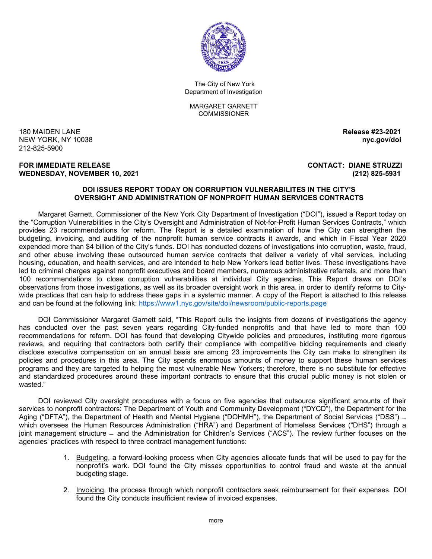

The City of New York Department of Investigation

MARGARET GARNETT **COMMISSIONER** 

180 MAIDEN LANE **Release #23-2021 NEW YORK, NY 10038** 212-825-5900

#### **FOR IMMEDIATE RELEASE CONTACT: DIANE STRUZZI WEDNESDAY, NOVEMBER 10, 2021 (212) 825-5931**

#### **DOI ISSUES REPORT TODAY ON CORRUPTION VULNERABILITES IN THE CITY'S OVERSIGHT AND ADMINISTRATION OF NONPROFIT HUMAN SERVICES CONTRACTS**

Margaret Garnett, Commissioner of the New York City Department of Investigation ("DOI"), issued a Report today on the "Corruption Vulnerabilities in the City's Oversight and Administration of Not-for-Profit Human Services Contracts," which provides 23 recommendations for reform. The Report is a detailed examination of how the City can strengthen the budgeting, invoicing, and auditing of the nonprofit human service contracts it awards, and which in Fiscal Year 2020 expended more than \$4 billion of the City's funds. DOI has conducted dozens of investigations into corruption, waste, fraud, and other abuse involving these outsourced human service contracts that deliver a variety of vital services, including housing, education, and health services, and are intended to help New Yorkers lead better lives. These investigations have led to criminal charges against nonprofit executives and board members, numerous administrative referrals, and more than 100 recommendations to close corruption vulnerabilities at individual City agencies. This Report draws on DOI's observations from those investigations, as well as its broader oversight work in this area, in order to identify reforms to Citywide practices that can help to address these gaps in a systemic manner. A copy of the Report is attached to this release and can be found at the following link:<https://www1.nyc.gov/site/doi/newsroom/public-reports.page>

DOI Commissioner Margaret Garnett said, "This Report culls the insights from dozens of investigations the agency has conducted over the past seven years regarding City-funded nonprofits and that have led to more than 100 recommendations for reform. DOI has found that developing Citywide policies and procedures, instituting more rigorous reviews, and requiring that contractors both certify their compliance with competitive bidding requirements and clearly disclose executive compensation on an annual basis are among 23 improvements the City can make to strengthen its policies and procedures in this area. The City spends enormous amounts of money to support these human services programs and they are targeted to helping the most vulnerable New Yorkers; therefore, there is no substitute for effective and standardized procedures around these important contracts to ensure that this crucial public money is not stolen or wasted."

DOI reviewed City oversight procedures with a focus on five agencies that outsource significant amounts of their services to nonprofit contractors: The Department of Youth and Community Development ("DYCD"), the Department for the Aging ("DFTA"), the Department of Health and Mental Hygiene ("DOHMH"), the Department of Social Services ("DSS") – which oversees the Human Resources Administration ("HRA") and Department of Homeless Services ("DHS") through a joint management structure ̶ and the Administration for Children's Services ("ACS"). The review further focuses on the agencies' practices with respect to three contract management functions:

- 1. Budgeting, a forward-looking process when City agencies allocate funds that will be used to pay for the nonprofit's work. DOI found the City misses opportunities to control fraud and waste at the annual budgeting stage.
- 2. Invoicing, the process through which nonprofit contractors seek reimbursement for their expenses. DOI found the City conducts insufficient review of invoiced expenses.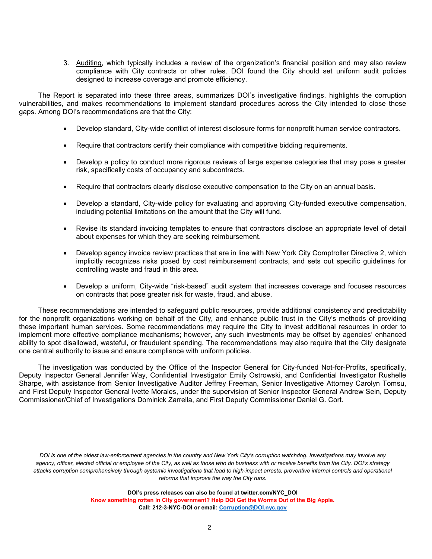3. Auditing, which typically includes a review of the organization's financial position and may also review compliance with City contracts or other rules. DOI found the City should set uniform audit policies designed to increase coverage and promote efficiency.

The Report is separated into these three areas, summarizes DOI's investigative findings, highlights the corruption vulnerabilities, and makes recommendations to implement standard procedures across the City intended to close those gaps. Among DOI's recommendations are that the City:

- Develop standard, City-wide conflict of interest disclosure forms for nonprofit human service contractors.
- Require that contractors certify their compliance with competitive bidding requirements.
- Develop a policy to conduct more rigorous reviews of large expense categories that may pose a greater risk, specifically costs of occupancy and subcontracts.
- Require that contractors clearly disclose executive compensation to the City on an annual basis.
- Develop a standard, City-wide policy for evaluating and approving City-funded executive compensation, including potential limitations on the amount that the City will fund.
- Revise its standard invoicing templates to ensure that contractors disclose an appropriate level of detail about expenses for which they are seeking reimbursement.
- Develop agency invoice review practices that are in line with New York City Comptroller Directive 2, which implicitly recognizes risks posed by cost reimbursement contracts, and sets out specific guidelines for controlling waste and fraud in this area.
- Develop a uniform, City-wide "risk-based" audit system that increases coverage and focuses resources on contracts that pose greater risk for waste, fraud, and abuse.

These recommendations are intended to safeguard public resources, provide additional consistency and predictability for the nonprofit organizations working on behalf of the City, and enhance public trust in the City's methods of providing these important human services. Some recommendations may require the City to invest additional resources in order to implement more effective compliance mechanisms; however, any such investments may be offset by agencies' enhanced ability to spot disallowed, wasteful, or fraudulent spending. The recommendations may also require that the City designate one central authority to issue and ensure compliance with uniform policies.

The investigation was conducted by the Office of the Inspector General for City-funded Not-for-Profits, specifically, Deputy Inspector General Jennifer Way, Confidential Investigator Emily Ostrowski, and Confidential Investigator Rushelle Sharpe, with assistance from Senior Investigative Auditor Jeffrey Freeman, Senior Investigative Attorney Carolyn Tomsu, and First Deputy Inspector General Ivette Morales, under the supervision of Senior Inspector General Andrew Sein, Deputy Commissioner/Chief of Investigations Dominick Zarrella, and First Deputy Commissioner Daniel G. Cort.

*DOI is one of the oldest law-enforcement agencies in the country and New York City's corruption watchdog. Investigations may involve any agency, officer, elected official or employee of the City, as well as those who do business with or receive benefits from the City. DOI's strategy attacks corruption comprehensively through systemic investigations that lead to high-impact arrests, preventive internal controls and operational reforms that improve the way the City runs.* 

**DOI's press releases can also be found at twitter.com/NYC\_DOI**

**Know something rotten in City government? Help DOI Get the Worms Out of the Big Apple. Call: 212-3-NYC-DOI or email[: Corruption@DOI.nyc.gov](mailto:Corruption@DOI.nyc.gov)**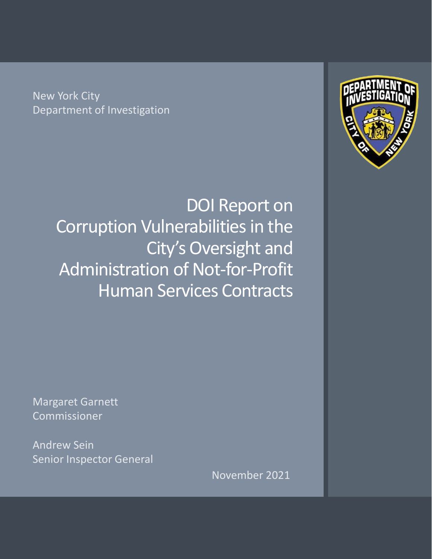New York City Department of Investigation

> DOI Report on Corruption Vulnerabilities in the City's Oversight and Administration of Not-for-Profit Human Services Contracts



Margaret Garnett Commissioner

Andrew Sein Senior Inspector General

November 2021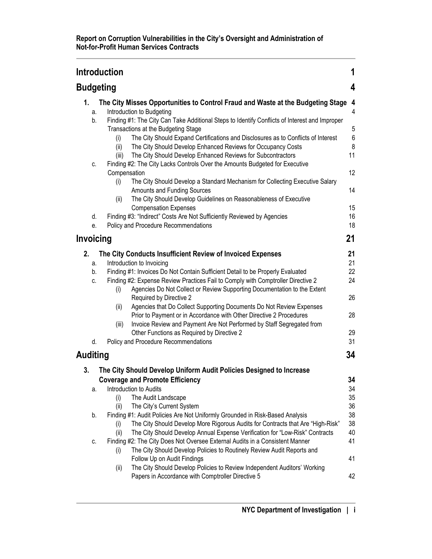|                  | <b>Introduction</b>                                                                                                                                                |                  |  |  |
|------------------|--------------------------------------------------------------------------------------------------------------------------------------------------------------------|------------------|--|--|
| <b>Budgeting</b> |                                                                                                                                                                    |                  |  |  |
| 1.               | The City Misses Opportunities to Control Fraud and Waste at the Budgeting Stage 4                                                                                  |                  |  |  |
| a.               | Introduction to Budgeting                                                                                                                                          | 4                |  |  |
| b.               | Finding #1: The City Can Take Additional Steps to Identify Conflicts of Interest and Improper                                                                      |                  |  |  |
|                  | Transactions at the Budgeting Stage                                                                                                                                | 5                |  |  |
|                  | The City Should Expand Certifications and Disclosures as to Conflicts of Interest<br>(i)                                                                           | $\boldsymbol{6}$ |  |  |
|                  | The City Should Develop Enhanced Reviews for Occupancy Costs<br>(ii)                                                                                               | 8                |  |  |
|                  | The City Should Develop Enhanced Reviews for Subcontractors<br>(iii)                                                                                               | 11               |  |  |
| C.               | Finding #2: The City Lacks Controls Over the Amounts Budgeted for Executive                                                                                        |                  |  |  |
|                  | Compensation                                                                                                                                                       | 12               |  |  |
|                  | The City Should Develop a Standard Mechanism for Collecting Executive Salary<br>(i)                                                                                |                  |  |  |
|                  | Amounts and Funding Sources                                                                                                                                        | 14               |  |  |
|                  | The City Should Develop Guidelines on Reasonableness of Executive<br>(ii)                                                                                          |                  |  |  |
|                  | <b>Compensation Expenses</b>                                                                                                                                       | 15               |  |  |
| d.               | Finding #3: "Indirect" Costs Are Not Sufficiently Reviewed by Agencies                                                                                             | 16               |  |  |
| е.               | Policy and Procedure Recommendations                                                                                                                               | 18               |  |  |
| Invoicing        |                                                                                                                                                                    | 21               |  |  |
| 2.               |                                                                                                                                                                    | 21               |  |  |
|                  | The City Conducts Insufficient Review of Invoiced Expenses                                                                                                         | 21               |  |  |
| a.               | Introduction to Invoicing                                                                                                                                          | 22               |  |  |
| b.               | Finding #1: Invoices Do Not Contain Sufficient Detail to be Properly Evaluated<br>Finding #2: Expense Review Practices Fail to Comply with Comptroller Directive 2 | 24               |  |  |
| C.               | Agencies Do Not Collect or Review Supporting Documentation to the Extent<br>(i)                                                                                    |                  |  |  |
|                  | Required by Directive 2                                                                                                                                            | 26               |  |  |
|                  | Agencies that Do Collect Supporting Documents Do Not Review Expenses<br>(ii)                                                                                       |                  |  |  |
|                  | Prior to Payment or in Accordance with Other Directive 2 Procedures                                                                                                | 28               |  |  |
|                  | Invoice Review and Payment Are Not Performed by Staff Segregated from<br>(iii)                                                                                     |                  |  |  |
|                  | Other Functions as Required by Directive 2                                                                                                                         | 29               |  |  |
| d.               | Policy and Procedure Recommendations                                                                                                                               | 31               |  |  |
|                  |                                                                                                                                                                    |                  |  |  |
| <b>Auditing</b>  |                                                                                                                                                                    | 34               |  |  |
| 3.               | The City Should Develop Uniform Audit Policies Designed to Increase                                                                                                |                  |  |  |
|                  | <b>Coverage and Promote Efficiency</b>                                                                                                                             | 34               |  |  |
| а.               | Introduction to Audits                                                                                                                                             | 34               |  |  |
|                  | The Audit Landscape<br>(i)                                                                                                                                         | 35               |  |  |
|                  | The City's Current System<br>(ii)                                                                                                                                  | 36               |  |  |
| b.               | Finding #1: Audit Policies Are Not Uniformly Grounded in Risk-Based Analysis                                                                                       | 38               |  |  |
|                  | The City Should Develop More Rigorous Audits for Contracts that Are "High-Risk"<br>(i)                                                                             | 38               |  |  |
|                  | The City Should Develop Annual Expense Verification for "Low-Risk" Contracts<br>(ii)                                                                               | 40               |  |  |
| C.               | Finding #2: The City Does Not Oversee External Audits in a Consistent Manner                                                                                       | 41               |  |  |
|                  | The City Should Develop Policies to Routinely Review Audit Reports and<br>(i)                                                                                      |                  |  |  |
|                  | Follow Up on Audit Findings                                                                                                                                        | 41               |  |  |
|                  | The City Should Develop Policies to Review Independent Auditors' Working<br>(ii)                                                                                   |                  |  |  |
|                  | Papers in Accordance with Comptroller Directive 5                                                                                                                  | 42               |  |  |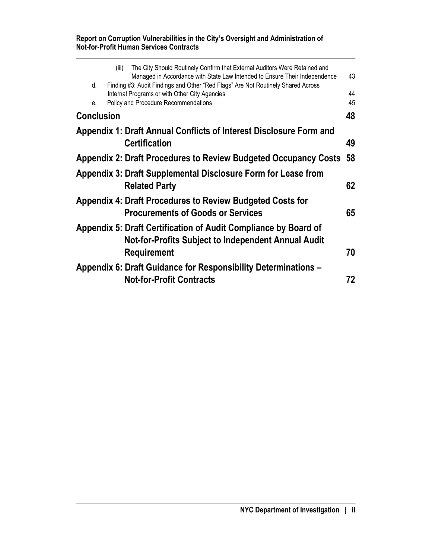#### **Report on Corruption Vulnerabilities in the City's Oversight and Administration of Not-for-Profit Human Services Contracts**

|                   | (iii) | The City Should Routinely Confirm that External Auditors Were Retained and<br>Managed in Accordance with State Law Intended to Ensure Their Independence                  | 43       |
|-------------------|-------|---------------------------------------------------------------------------------------------------------------------------------------------------------------------------|----------|
| d.<br>e.          |       | Finding #3: Audit Findings and Other "Red Flags" Are Not Routinely Shared Across<br>Internal Programs or with Other City Agencies<br>Policy and Procedure Recommendations | 44<br>45 |
| <b>Conclusion</b> |       |                                                                                                                                                                           | 48       |
|                   |       | Appendix 1: Draft Annual Conflicts of Interest Disclosure Form and                                                                                                        |          |
|                   |       | <b>Certification</b>                                                                                                                                                      | 49       |
|                   |       | Appendix 2: Draft Procedures to Review Budgeted Occupancy Costs                                                                                                           | 58       |
|                   |       | Appendix 3: Draft Supplemental Disclosure Form for Lease from<br><b>Related Party</b>                                                                                     | 62       |
|                   |       | Appendix 4: Draft Procedures to Review Budgeted Costs for<br><b>Procurements of Goods or Services</b>                                                                     | 65       |
|                   |       | Appendix 5: Draft Certification of Audit Compliance by Board of<br><b>Not-for-Profits Subject to Independent Annual Audit</b>                                             |          |
|                   |       | <b>Requirement</b>                                                                                                                                                        | 70       |
|                   |       | Appendix 6: Draft Guidance for Responsibility Determinations -<br><b>Not-for-Profit Contracts</b>                                                                         | 72       |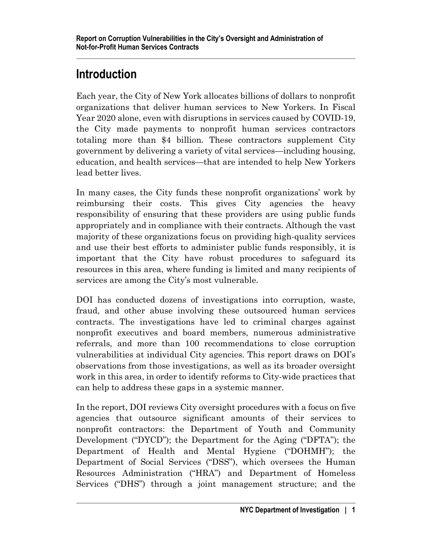# <span id="page-5-0"></span>**Introduction**

Each year, the City of New York allocates billions of dollars to nonprofit organizations that deliver human services to New Yorkers. In Fiscal Year 2020 alone, even with disruptions in services caused by COVID-19, the City made payments to nonprofit human services contractors totaling more than \$4 billion. These contractors supplement City government by delivering a variety of vital services—including housing, education, and health services—that are intended to help New Yorkers lead better lives.

In many cases, the City funds these nonprofit organizations' work by reimbursing their costs. This gives City agencies the heavy responsibility of ensuring that these providers are using public funds appropriately and in compliance with their contracts. Although the vast majority of these organizations focus on providing high-quality services and use their best efforts to administer public funds responsibly, it is important that the City have robust procedures to safeguard its resources in this area, where funding is limited and many recipients of services are among the City's most vulnerable.

DOI has conducted dozens of investigations into corruption, waste, fraud, and other abuse involving these outsourced human services contracts. The investigations have led to criminal charges against nonprofit executives and board members, numerous administrative referrals, and more than 100 recommendations to close corruption vulnerabilities at individual City agencies. This report draws on DOI's observations from those investigations, as well as its broader oversight work in this area, in order to identify reforms to City-wide practices that can help to address these gaps in a systemic manner.

In the report, DOI reviews City oversight procedures with a focus on five agencies that outsource significant amounts of their services to nonprofit contractors: the Department of Youth and Community Development ("DYCD"); the Department for the Aging ("DFTA"); the Department of Health and Mental Hygiene ("DOHMH"); the Department of Social Services ("DSS"), which oversees the Human Resources Administration ("HRA") and Department of Homeless Services ("DHS") through a joint management structure; and the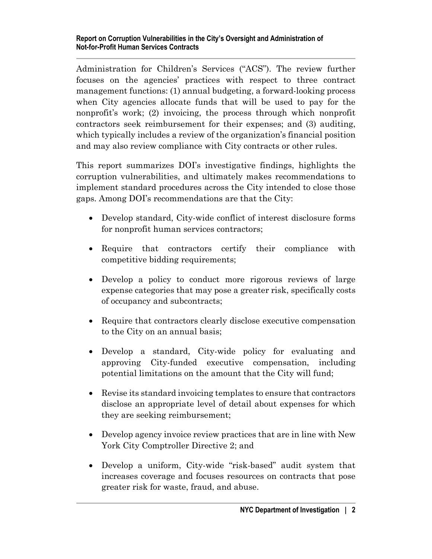Administration for Children's Services ("ACS"). The review further focuses on the agencies' practices with respect to three contract management functions: (1) annual budgeting, a forward-looking process when City agencies allocate funds that will be used to pay for the nonprofit's work; (2) invoicing, the process through which nonprofit contractors seek reimbursement for their expenses; and (3) auditing, which typically includes a review of the organization's financial position and may also review compliance with City contracts or other rules.

This report summarizes DOI's investigative findings, highlights the corruption vulnerabilities, and ultimately makes recommendations to implement standard procedures across the City intended to close those gaps. Among DOI's recommendations are that the City:

- Develop standard, City-wide conflict of interest disclosure forms for nonprofit human services contractors;
- Require that contractors certify their compliance with competitive bidding requirements;
- Develop a policy to conduct more rigorous reviews of large expense categories that may pose a greater risk, specifically costs of occupancy and subcontracts;
- Require that contractors clearly disclose executive compensation to the City on an annual basis;
- Develop a standard, City-wide policy for evaluating and approving City-funded executive compensation, including potential limitations on the amount that the City will fund;
- Revise its standard invoicing templates to ensure that contractors disclose an appropriate level of detail about expenses for which they are seeking reimbursement;
- Develop agency invoice review practices that are in line with New York City Comptroller Directive 2; and
- Develop a uniform, City-wide "risk-based" audit system that increases coverage and focuses resources on contracts that pose greater risk for waste, fraud, and abuse.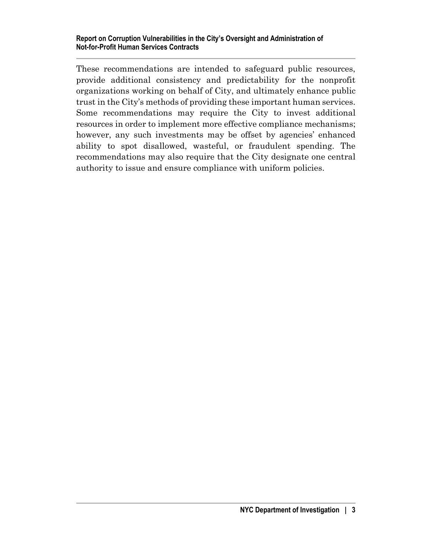These recommendations are intended to safeguard public resources, provide additional consistency and predictability for the nonprofit organizations working on behalf of City, and ultimately enhance public trust in the City's methods of providing these important human services. Some recommendations may require the City to invest additional resources in order to implement more effective compliance mechanisms; however, any such investments may be offset by agencies' enhanced ability to spot disallowed, wasteful, or fraudulent spending. The recommendations may also require that the City designate one central authority to issue and ensure compliance with uniform policies.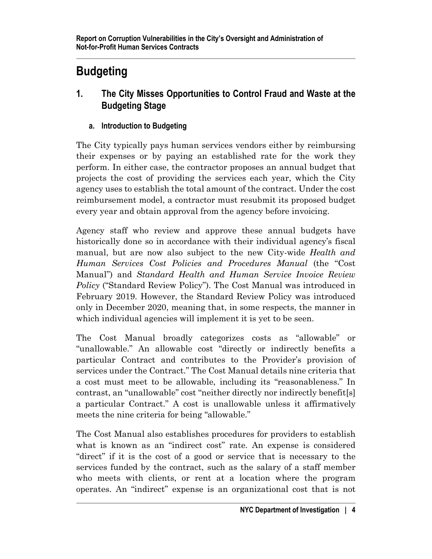# <span id="page-8-0"></span>**Budgeting**

- <span id="page-8-1"></span>**1. The City Misses Opportunities to Control Fraud and Waste at the Budgeting Stage**
	- **a. Introduction to Budgeting**

<span id="page-8-2"></span>The City typically pays human services vendors either by reimbursing their expenses or by paying an established rate for the work they perform. In either case, the contractor proposes an annual budget that projects the cost of providing the services each year, which the City agency uses to establish the total amount of the contract. Under the cost reimbursement model, a contractor must resubmit its proposed budget every year and obtain approval from the agency before invoicing.

Agency staff who review and approve these annual budgets have historically done so in accordance with their individual agency's fiscal manual, but are now also subject to the new City-wide *Health and Human Services Cost Policies and Procedures Manual* (the "Cost Manual") and *Standard Health and Human Service Invoice Review Policy* ("Standard Review Policy"). The Cost Manual was introduced in February 2019. However, the Standard Review Policy was introduced only in December 2020, meaning that, in some respects, the manner in which individual agencies will implement it is yet to be seen.

The Cost Manual broadly categorizes costs as "allowable" or "unallowable." An allowable cost "directly or indirectly benefits a particular Contract and contributes to the Provider's provision of services under the Contract." The Cost Manual details nine criteria that a cost must meet to be allowable, including its "reasonableness." In contrast, an "unallowable" cost "neither directly nor indirectly benefit[s] a particular Contract." A cost is unallowable unless it affirmatively meets the nine criteria for being "allowable."

The Cost Manual also establishes procedures for providers to establish what is known as an "indirect cost" rate. An expense is considered "direct" if it is the cost of a good or service that is necessary to the services funded by the contract, such as the salary of a staff member who meets with clients, or rent at a location where the program operates. An "indirect" expense is an organizational cost that is not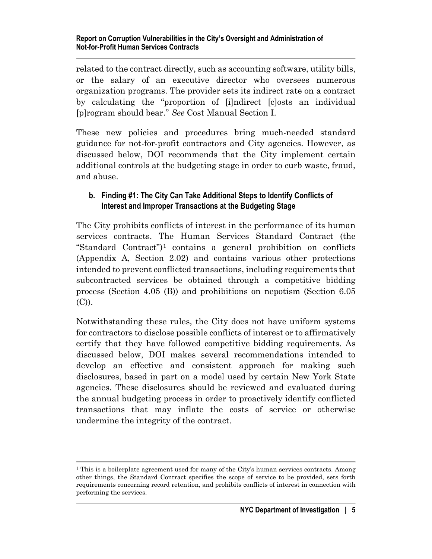related to the contract directly, such as accounting software, utility bills, or the salary of an executive director who oversees numerous organization programs. The provider sets its indirect rate on a contract by calculating the "proportion of [i]ndirect [c]osts an individual [p]rogram should bear." *See* Cost Manual Section I.

These new policies and procedures bring much-needed standard guidance for not-for-profit contractors and City agencies. However, as discussed below, DOI recommends that the City implement certain additional controls at the budgeting stage in order to curb waste, fraud, and abuse.

#### <span id="page-9-0"></span>**b. Finding #1: The City Can Take Additional Steps to Identify Conflicts of Interest and Improper Transactions at the Budgeting Stage**

The City prohibits conflicts of interest in the performance of its human services contracts. The Human Services Standard Contract (the "Standard Contract" $)^1$  $)^1$  contains a general prohibition on conflicts (Appendix A, Section 2.02) and contains various other protections intended to prevent conflicted transactions, including requirements that subcontracted services be obtained through a competitive bidding process (Section 4.05 (B)) and prohibitions on nepotism (Section 6.05 (C)).

Notwithstanding these rules, the City does not have uniform systems for contractors to disclose possible conflicts of interest or to affirmatively certify that they have followed competitive bidding requirements. As discussed below, DOI makes several recommendations intended to develop an effective and consistent approach for making such disclosures, based in part on a model used by certain New York State agencies. These disclosures should be reviewed and evaluated during the annual budgeting process in order to proactively identify conflicted transactions that may inflate the costs of service or otherwise undermine the integrity of the contract.

<span id="page-9-1"></span><sup>&</sup>lt;sup>1</sup> This is a boilerplate agreement used for many of the City's human services contracts. Among other things, the Standard Contract specifies the scope of service to be provided, sets forth requirements concerning record retention, and prohibits conflicts of interest in connection with performing the services.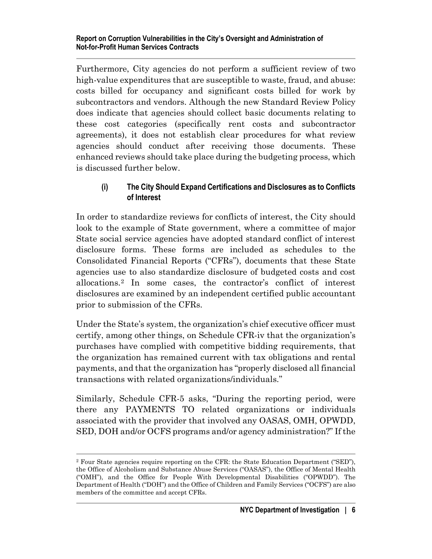Furthermore, City agencies do not perform a sufficient review of two high-value expenditures that are susceptible to waste, fraud, and abuse: costs billed for occupancy and significant costs billed for work by subcontractors and vendors. Although the new Standard Review Policy does indicate that agencies should collect basic documents relating to these cost categories (specifically rent costs and subcontractor agreements), it does not establish clear procedures for what review agencies should conduct after receiving those documents. These enhanced reviews should take place during the budgeting process, which is discussed further below.

#### <span id="page-10-0"></span>**(i) The City Should Expand Certifications and Disclosures as to Conflicts of Interest**

In order to standardize reviews for conflicts of interest, the City should look to the example of State government, where a committee of major State social service agencies have adopted standard conflict of interest disclosure forms. These forms are included as schedules to the Consolidated Financial Reports ("CFRs"), documents that these State agencies use to also standardize disclosure of budgeted costs and cost allocations.[2](#page-10-1) In some cases, the contractor's conflict of interest disclosures are examined by an independent certified public accountant prior to submission of the CFRs.

Under the State's system, the organization's chief executive officer must certify, among other things, on Schedule CFR-iv that the organization's purchases have complied with competitive bidding requirements, that the organization has remained current with tax obligations and rental payments, and that the organization has "properly disclosed all financial transactions with related organizations/individuals."

Similarly, Schedule CFR-5 asks, "During the reporting period, were there any PAYMENTS TO related organizations or individuals associated with the provider that involved any OASAS, OMH, OPWDD, SED, DOH and/or OCFS programs and/or agency administration?" If the

<span id="page-10-1"></span><sup>2</sup> Four State agencies require reporting on the CFR: the State Education Department ("SED"), the Office of Alcoholism and Substance Abuse Services ("OASAS"), the Office of Mental Health ("OMH"), and the Office for People With Developmental Disabilities ("OPWDD"). The Department of Health ("DOH") and the Office of Children and Family Services ("OCFS") are also members of the committee and accept CFRs.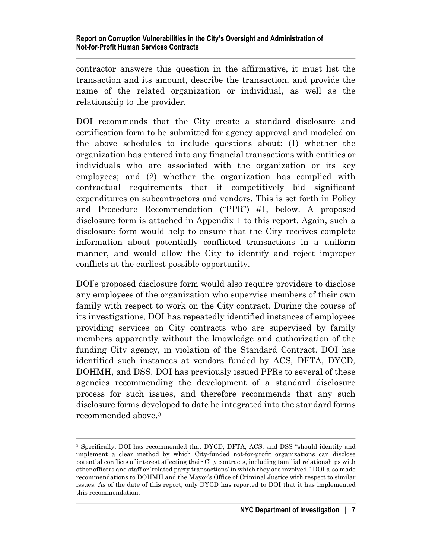contractor answers this question in the affirmative, it must list the transaction and its amount, describe the transaction, and provide the name of the related organization or individual, as well as the relationship to the provider.

DOI recommends that the City create a standard disclosure and certification form to be submitted for agency approval and modeled on the above schedules to include questions about: (1) whether the organization has entered into any financial transactions with entities or individuals who are associated with the organization or its key employees; and (2) whether the organization has complied with contractual requirements that it competitively bid significant expenditures on subcontractors and vendors. This is set forth in Policy and Procedure Recommendation ("PPR") #1, below. A proposed disclosure form is attached in Appendix 1 to this report. Again, such a disclosure form would help to ensure that the City receives complete information about potentially conflicted transactions in a uniform manner, and would allow the City to identify and reject improper conflicts at the earliest possible opportunity.

DOI's proposed disclosure form would also require providers to disclose any employees of the organization who supervise members of their own family with respect to work on the City contract. During the course of its investigations, DOI has repeatedly identified instances of employees providing services on City contracts who are supervised by family members apparently without the knowledge and authorization of the funding City agency, in violation of the Standard Contract. DOI has identified such instances at vendors funded by ACS, DFTA, DYCD, DOHMH, and DSS. DOI has previously issued PPRs to several of these agencies recommending the development of a standard disclosure process for such issues, and therefore recommends that any such disclosure forms developed to date be integrated into the standard forms recommended above.[3](#page-11-0)

<span id="page-11-0"></span><sup>3</sup> Specifically, DOI has recommended that DYCD, DFTA, ACS, and DSS "should identify and implement a clear method by which City-funded not-for-profit organizations can disclose potential conflicts of interest affecting their City contracts, including familial relationships with other officers and staff or 'related party transactions' in which they are involved." DOI also made recommendations to DOHMH and the Mayor's Office of Criminal Justice with respect to similar issues. As of the date of this report, only DYCD has reported to DOI that it has implemented this recommendation.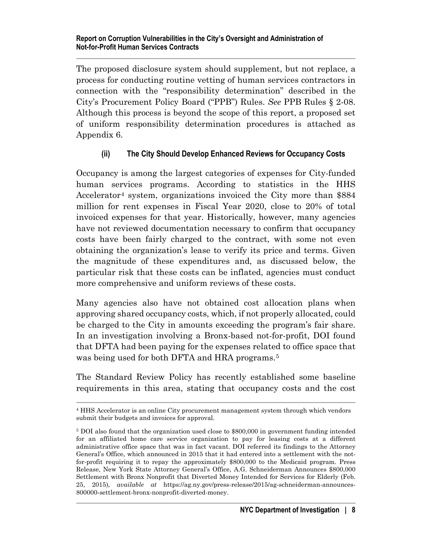The proposed disclosure system should supplement, but not replace, a process for conducting routine vetting of human services contractors in connection with the "responsibility determination" described in the City's Procurement Policy Board ("PPB") Rules. *See* PPB Rules § 2-08. Although this process is beyond the scope of this report, a proposed set of uniform responsibility determination procedures is attached as Appendix 6.

## <span id="page-12-0"></span>**(ii) The City Should Develop Enhanced Reviews for Occupancy Costs**

Occupancy is among the largest categories of expenses for City-funded human services programs. According to statistics in the HHS Accelerator<sup>[4](#page-12-1)</sup> system, organizations invoiced the City more than \$884 million for rent expenses in Fiscal Year 2020, close to 20% of total invoiced expenses for that year. Historically, however, many agencies have not reviewed documentation necessary to confirm that occupancy costs have been fairly charged to the contract, with some not even obtaining the organization's lease to verify its price and terms. Given the magnitude of these expenditures and, as discussed below, the particular risk that these costs can be inflated, agencies must conduct more comprehensive and uniform reviews of these costs.

Many agencies also have not obtained cost allocation plans when approving shared occupancy costs, which, if not properly allocated, could be charged to the City in amounts exceeding the program's fair share. In an investigation involving a Bronx-based not-for-profit, DOI found that DFTA had been paying for the expenses related to office space that was being used for both DFTA and HRA programs.<sup>[5](#page-12-2)</sup>

The Standard Review Policy has recently established some baseline requirements in this area, stating that occupancy costs and the cost

<span id="page-12-1"></span><sup>4</sup> HHS Accelerator is an online City procurement management system through which vendors submit their budgets and invoices for approval.

<span id="page-12-2"></span><sup>5</sup> DOI also found that the organization used close to \$800,000 in government funding intended for an affiliated home care service organization to pay for leasing costs at a different administrative office space that was in fact vacant. DOI referred its findings to the Attorney General's Office, which announced in 2015 that it had entered into a settlement with the notfor-profit requiring it to repay the approximately \$800,000 to the Medicaid program. Press Release, New York State Attorney General's Office, A.G. Schneiderman Announces \$800,000 Settlement with Bronx Nonprofit that Diverted Money Intended for Services for Elderly (Feb. 25, 2015), *available at* [https://ag.ny.gov/press-release/2015/ag-schneiderman-announces-](https://ag.ny.gov/press-release/2015/ag-schneiderman-announces-800000-settlement-bronx-nonprofit-diverted-money)[800000-settlement-bronx-nonprofit-diverted-money.](https://ag.ny.gov/press-release/2015/ag-schneiderman-announces-800000-settlement-bronx-nonprofit-diverted-money)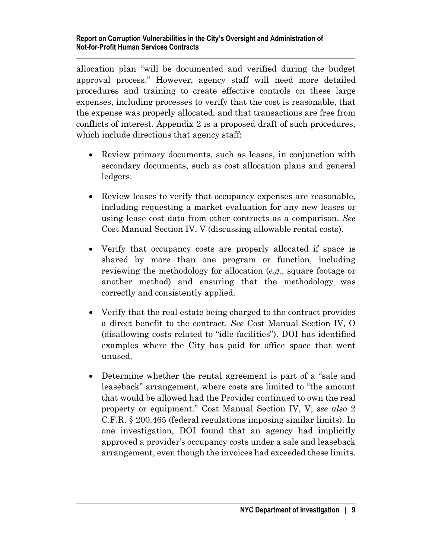allocation plan "will be documented and verified during the budget approval process." However, agency staff will need more detailed procedures and training to create effective controls on these large expenses, including processes to verify that the cost is reasonable, that the expense was properly allocated, and that transactions are free from conflicts of interest. Appendix 2 is a proposed draft of such procedures, which include directions that agency staff:

- Review primary documents, such as leases, in conjunction with secondary documents, such as cost allocation plans and general ledgers.
- Review leases to verify that occupancy expenses are reasonable, including requesting a market evaluation for any new leases or using lease cost data from other contracts as a comparison. *See* Cost Manual Section IV, V (discussing allowable rental costs).
- Verify that occupancy costs are properly allocated if space is shared by more than one program or function, including reviewing the methodology for allocation (*e.g.*, square footage or another method) and ensuring that the methodology was correctly and consistently applied.
- Verify that the real estate being charged to the contract provides a direct benefit to the contract. *See* Cost Manual Section IV, O (disallowing costs related to "idle facilities"). DOI has identified examples where the City has paid for office space that went unused.
- Determine whether the rental agreement is part of a "sale and leaseback" arrangement, where costs are limited to "the amount that would be allowed had the Provider continued to own the real property or equipment." Cost Manual Section IV, V; *see also* 2 C.F.R. § 200.465 (federal regulations imposing similar limits). In one investigation, DOI found that an agency had implicitly approved a provider's occupancy costs under a sale and leaseback arrangement, even though the invoices had exceeded these limits.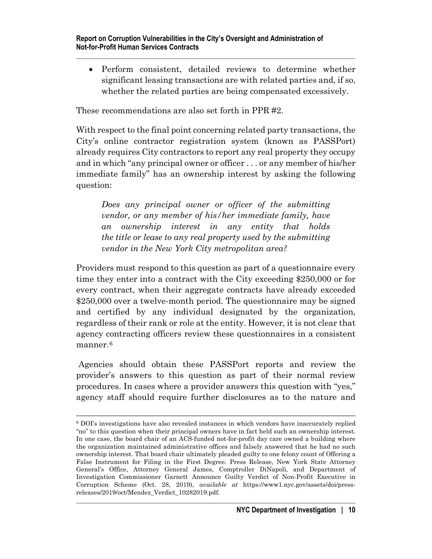• Perform consistent, detailed reviews to determine whether significant leasing transactions are with related parties and, if so, whether the related parties are being compensated excessively.

These recommendations are also set forth in PPR #2.

With respect to the final point concerning related party transactions, the City's online contractor registration system (known as PASSPort) already requires City contractors to report any real property they occupy and in which "any principal owner or officer . . . or any member of his/her immediate family" has an ownership interest by asking the following question:

*Does any principal owner or officer of the submitting vendor, or any member of his/her immediate family, have an ownership interest in any entity that holds the title or lease to any real property used by the submitting vendor in the New York City metropolitan area?*

Providers must respond to this question as part of a questionnaire every time they enter into a contract with the City exceeding \$250,000 or for every contract, when their aggregate contracts have already exceeded \$250,000 over a twelve-month period. The questionnaire may be signed and certified by any individual designated by the organization, regardless of their rank or role at the entity. However, it is not clear that agency contracting officers review these questionnaires in a consistent manner.[6](#page-14-0)

Agencies should obtain these PASSPort reports and review the provider's answers to this question as part of their normal review procedures. In cases where a provider answers this question with "yes," agency staff should require further disclosures as to the nature and

<span id="page-14-0"></span><sup>6</sup> DOI's investigations have also revealed instances in which vendors have inaccurately replied "no" to this question when their principal owners have in fact held such an ownership interest. In one case, the board chair of an ACS-funded not-for-profit day care owned a building where the organization maintained administrative offices and falsely answered that he had no such ownership interest. That board chair ultimately pleaded guilty to one felony count of Offering a False Instrument for Filing in the First Degree. Press Release, New York State Attorney General's Office, Attorney General James, Comptroller DiNapoli, and Department of Investigation Commissioner Garnett Announce Guilty Verdict of Non-Profit Executive in Corruption Scheme (Oct. 28, 2019), *available at* https://www1.nyc.gov/assets/doi/pressreleases/2019/oct/Mendez\_Verdict\_10282019.pdf.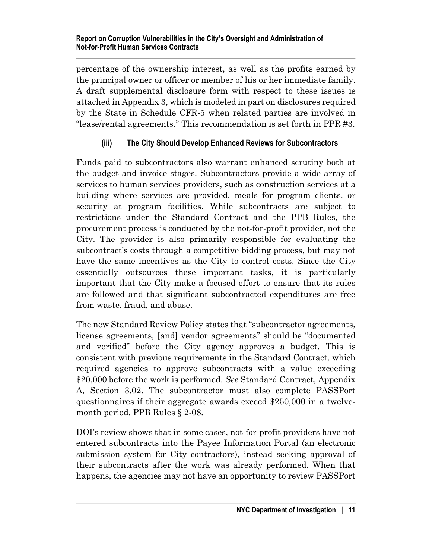percentage of the ownership interest, as well as the profits earned by the principal owner or officer or member of his or her immediate family. A draft supplemental disclosure form with respect to these issues is attached in Appendix 3, which is modeled in part on disclosures required by the State in Schedule CFR-5 when related parties are involved in "lease/rental agreements." This recommendation is set forth in PPR #3.

# <span id="page-15-0"></span>**(iii) The City Should Develop Enhanced Reviews for Subcontractors**

Funds paid to subcontractors also warrant enhanced scrutiny both at the budget and invoice stages. Subcontractors provide a wide array of services to human services providers, such as construction services at a building where services are provided, meals for program clients, or security at program facilities. While subcontracts are subject to restrictions under the Standard Contract and the PPB Rules, the procurement process is conducted by the not-for-profit provider, not the City. The provider is also primarily responsible for evaluating the subcontract's costs through a competitive bidding process, but may not have the same incentives as the City to control costs. Since the City essentially outsources these important tasks, it is particularly important that the City make a focused effort to ensure that its rules are followed and that significant subcontracted expenditures are free from waste, fraud, and abuse.

The new Standard Review Policy states that "subcontractor agreements, license agreements, [and] vendor agreements" should be "documented and verified" before the City agency approves a budget. This is consistent with previous requirements in the Standard Contract, which required agencies to approve subcontracts with a value exceeding \$20,000 before the work is performed. *See* Standard Contract, Appendix A, Section 3.02. The subcontractor must also complete PASSPort questionnaires if their aggregate awards exceed \$250,000 in a twelvemonth period. PPB Rules § 2-08.

DOI's review shows that in some cases, not-for-profit providers have not entered subcontracts into the Payee Information Portal (an electronic submission system for City contractors), instead seeking approval of their subcontracts after the work was already performed. When that happens, the agencies may not have an opportunity to review PASSPort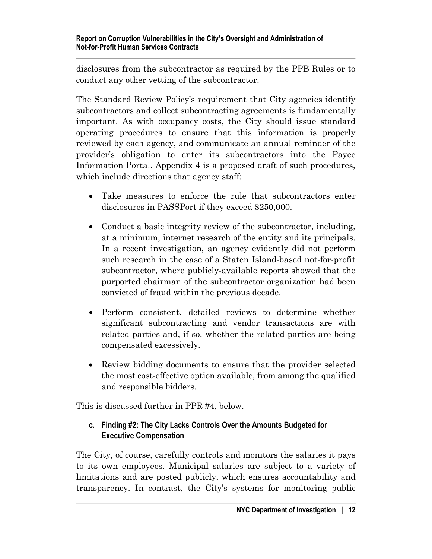disclosures from the subcontractor as required by the PPB Rules or to conduct any other vetting of the subcontractor.

The Standard Review Policy's requirement that City agencies identify subcontractors and collect subcontracting agreements is fundamentally important. As with occupancy costs, the City should issue standard operating procedures to ensure that this information is properly reviewed by each agency, and communicate an annual reminder of the provider's obligation to enter its subcontractors into the Payee Information Portal. Appendix 4 is a proposed draft of such procedures, which include directions that agency staff:

- Take measures to enforce the rule that subcontractors enter disclosures in PASSPort if they exceed \$250,000.
- Conduct a basic integrity review of the subcontractor, including, at a minimum, internet research of the entity and its principals. In a recent investigation, an agency evidently did not perform such research in the case of a Staten Island-based not-for-profit subcontractor, where publicly-available reports showed that the purported chairman of the subcontractor organization had been convicted of fraud within the previous decade.
- Perform consistent, detailed reviews to determine whether significant subcontracting and vendor transactions are with related parties and, if so, whether the related parties are being compensated excessively.
- Review bidding documents to ensure that the provider selected the most cost-effective option available, from among the qualified and responsible bidders.

<span id="page-16-0"></span>This is discussed further in PPR #4, below.

#### **c. Finding #2: The City Lacks Controls Over the Amounts Budgeted for Executive Compensation**

The City, of course, carefully controls and monitors the salaries it pays to its own employees. Municipal salaries are subject to a variety of limitations and are posted publicly, which ensures accountability and transparency. In contrast, the City's systems for monitoring public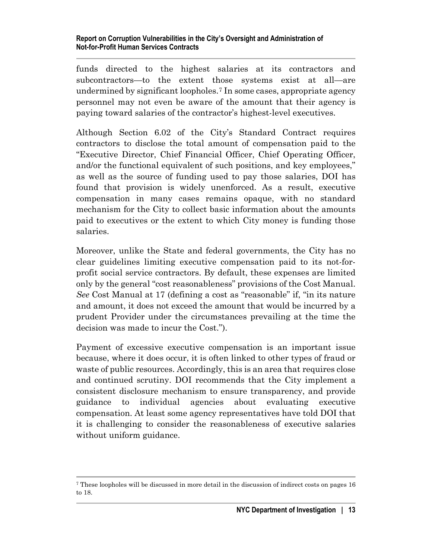funds directed to the highest salaries at its contractors and subcontractors—to the extent those systems exist at all—are undermined by significant loopholes.[7](#page-17-0) In some cases, appropriate agency personnel may not even be aware of the amount that their agency is paying toward salaries of the contractor's highest-level executives.

Although Section 6.02 of the City's Standard Contract requires contractors to disclose the total amount of compensation paid to the "Executive Director, Chief Financial Officer, Chief Operating Officer, and/or the functional equivalent of such positions, and key employees," as well as the source of funding used to pay those salaries, DOI has found that provision is widely unenforced. As a result, executive compensation in many cases remains opaque, with no standard mechanism for the City to collect basic information about the amounts paid to executives or the extent to which City money is funding those salaries.

Moreover, unlike the State and federal governments, the City has no clear guidelines limiting executive compensation paid to its not-forprofit social service contractors. By default, these expenses are limited only by the general "cost reasonableness" provisions of the Cost Manual. *See* Cost Manual at 17 (defining a cost as "reasonable" if, "in its nature and amount, it does not exceed the amount that would be incurred by a prudent Provider under the circumstances prevailing at the time the decision was made to incur the Cost.").

Payment of excessive executive compensation is an important issue because, where it does occur, it is often linked to other types of fraud or waste of public resources. Accordingly, this is an area that requires close and continued scrutiny. DOI recommends that the City implement a consistent disclosure mechanism to ensure transparency, and provide guidance to individual agencies about evaluating executive compensation. At least some agency representatives have told DOI that it is challenging to consider the reasonableness of executive salaries without uniform guidance.

<span id="page-17-0"></span><sup>7</sup> These loopholes will be discussed in more detail in the discussion of indirect costs on pages 16 to 18.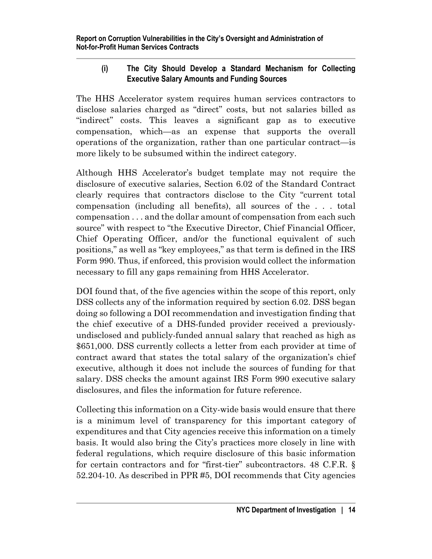## <span id="page-18-0"></span>**(i) The City Should Develop a Standard Mechanism for Collecting Executive Salary Amounts and Funding Sources**

The HHS Accelerator system requires human services contractors to disclose salaries charged as "direct" costs, but not salaries billed as "indirect" costs. This leaves a significant gap as to executive compensation, which—as an expense that supports the overall operations of the organization, rather than one particular contract—is more likely to be subsumed within the indirect category.

Although HHS Accelerator's budget template may not require the disclosure of executive salaries, Section 6.02 of the Standard Contract clearly requires that contractors disclose to the City "current total compensation (including all benefits), all sources of the . . . total compensation . . . and the dollar amount of compensation from each such source" with respect to "the Executive Director, Chief Financial Officer, Chief Operating Officer, and/or the functional equivalent of such positions," as well as "key employees," as that term is defined in the IRS Form 990. Thus, if enforced, this provision would collect the information necessary to fill any gaps remaining from HHS Accelerator.

DOI found that, of the five agencies within the scope of this report, only DSS collects any of the information required by section 6.02. DSS began doing so following a DOI recommendation and investigation finding that the chief executive of a DHS-funded provider received a previouslyundisclosed and publicly-funded annual salary that reached as high as \$651,000. DSS currently collects a letter from each provider at time of contract award that states the total salary of the organization's chief executive, although it does not include the sources of funding for that salary. DSS checks the amount against IRS Form 990 executive salary disclosures, and files the information for future reference.

Collecting this information on a City-wide basis would ensure that there is a minimum level of transparency for this important category of expenditures and that City agencies receive this information on a timely basis. It would also bring the City's practices more closely in line with federal regulations, which require disclosure of this basic information for certain contractors and for "first-tier" subcontractors. 48 C.F.R. § 52.204-10. As described in PPR #5, DOI recommends that City agencies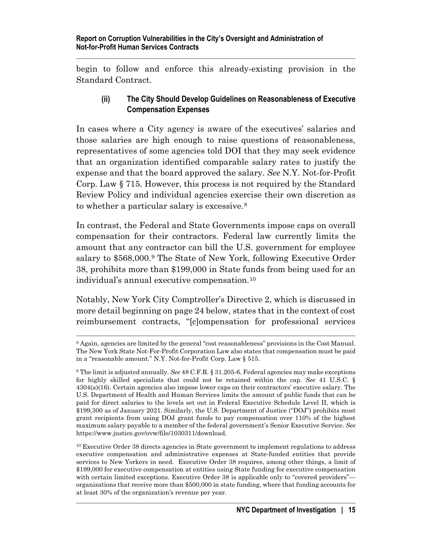<span id="page-19-0"></span>begin to follow and enforce this already-existing provision in the Standard Contract.

#### **(ii) The City Should Develop Guidelines on Reasonableness of Executive Compensation Expenses**

In cases where a City agency is aware of the executives' salaries and those salaries are high enough to raise questions of reasonableness, representatives of some agencies told DOI that they may seek evidence that an organization identified comparable salary rates to justify the expense and that the board approved the salary. *See* N.Y. Not-for-Profit Corp. Law § 715. However, this process is not required by the Standard Review Policy and individual agencies exercise their own discretion as to whether a particular salary is excessive.[8](#page-19-1)

In contrast, the Federal and State Governments impose caps on overall compensation for their contractors. Federal law currently limits the amount that any contractor can bill the U.S. government for employee salary to \$568,000.[9](#page-19-2) The State of New York, following Executive Order 38, prohibits more than \$199,000 in State funds from being used for an individual's annual executive compensation.[10](#page-19-3)

Notably, New York City Comptroller's Directive 2, which is discussed in more detail beginning on page 24 below, states that in the context of cost reimbursement contracts, "[c]ompensation for professional services

<span id="page-19-1"></span><sup>8</sup> Again, agencies are limited by the general "cost reasonableness" provisions in the Cost Manual. The New York State Not-For-Profit Corporation Law also states that compensation must be paid in a "reasonable amount." N.Y. Not-for-Profit Corp. Law § 515.

<span id="page-19-2"></span><sup>9</sup> The limit is adjusted annually. *See* 48 C.F.R. § 31.205-6. Federal agencies may make exceptions for highly skilled specialists that could not be retained within the cap. *See* 41 U.S.C. § 4304(a)(16). Certain agencies also impose lower caps on their contractors' executive salary. The U.S. Department of Health and Human Services limits the amount of public funds that can be paid for direct salaries to the levels set out in Federal Executive Schedule Level II, which is \$199,300 as of January 2021. Similarly, the U.S. Department of Justice ("DOJ") prohibits most grant recipients from using DOJ grant funds to pay compensation over 110% of the highest maximum salary payable to a member of the federal government's Senior Executive Service. *See* [https://www.justice.gov/ovw/file/1030311/download.](https://www.justice.gov/ovw/file/1030311/download)

<span id="page-19-3"></span><sup>10</sup> Executive Order 38 directs agencies in State government to implement regulations to address executive compensation and administrative expenses at State-funded entities that provide services to New Yorkers in need. Executive Order 38 requires, among other things, a limit of \$199,000 for executive compensation at entities using State funding for executive compensation with certain limited exceptions. Executive Order 38 is applicable only to "covered providers" organizations that receive more than \$500,000 in state funding, where that funding accounts for at least 30% of the organization's revenue per year.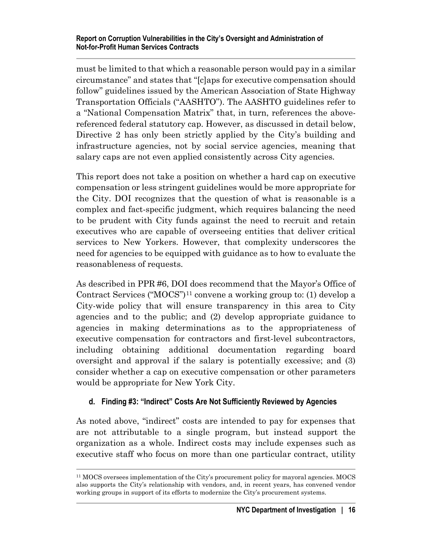#### **Report on Corruption Vulnerabilities in the City's Oversight and Administration of Not-for-Profit Human Services Contracts**

must be limited to that which a reasonable person would pay in a similar circumstance" and states that "[c]aps for executive compensation should follow" guidelines issued by the American Association of State Highway Transportation Officials ("AASHTO"). The AASHTO guidelines refer to a "National Compensation Matrix" that, in turn, references the abovereferenced federal statutory cap. However, as discussed in detail below, Directive 2 has only been strictly applied by the City's building and infrastructure agencies, not by social service agencies, meaning that salary caps are not even applied consistently across City agencies.

This report does not take a position on whether a hard cap on executive compensation or less stringent guidelines would be more appropriate for the City. DOI recognizes that the question of what is reasonable is a complex and fact-specific judgment, which requires balancing the need to be prudent with City funds against the need to recruit and retain executives who are capable of overseeing entities that deliver critical services to New Yorkers. However, that complexity underscores the need for agencies to be equipped with guidance as to how to evaluate the reasonableness of requests.

As described in PPR #6, DOI does recommend that the Mayor's Office of Contract Services ("MOCS")[11](#page-20-1) convene a working group to: (1) develop a City-wide policy that will ensure transparency in this area to City agencies and to the public; and (2) develop appropriate guidance to agencies in making determinations as to the appropriateness of executive compensation for contractors and first-level subcontractors, including obtaining additional documentation regarding board oversight and approval if the salary is potentially excessive; and (3) consider whether a cap on executive compensation or other parameters would be appropriate for New York City.

#### <span id="page-20-0"></span>**d. Finding #3: "Indirect" Costs Are Not Sufficiently Reviewed by Agencies**

As noted above, "indirect" costs are intended to pay for expenses that are not attributable to a single program, but instead support the organization as a whole. Indirect costs may include expenses such as executive staff who focus on more than one particular contract, utility

<span id="page-20-1"></span><sup>11</sup> MOCS oversees implementation of the City's procurement policy for mayoral agencies. MOCS also supports the City's relationship with vendors, and, in recent years, has convened vendor working groups in support of its efforts to modernize the City's procurement systems.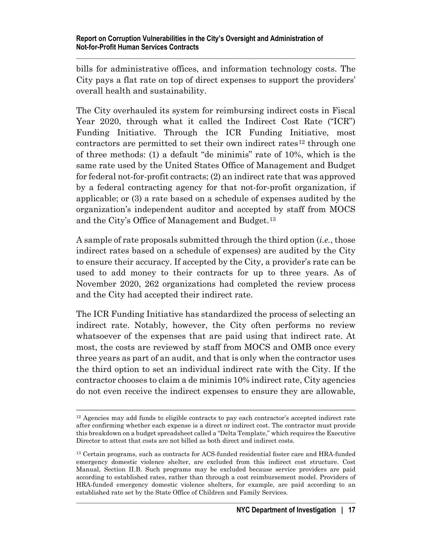bills for administrative offices, and information technology costs. The City pays a flat rate on top of direct expenses to support the providers' overall health and sustainability.

The City overhauled its system for reimbursing indirect costs in Fiscal Year 2020, through what it called the Indirect Cost Rate ("ICR") Funding Initiative. Through the ICR Funding Initiative, most  $\frac{1}{2}$  contractors are permitted to set their own indirect rates<sup>[12](#page-21-0)</sup> through one of three methods: (1) a default "de minimis" rate of 10%, which is the same rate used by the United States Office of Management and Budget for federal not-for-profit contracts; (2) an indirect rate that was approved by a federal contracting agency for that not-for-profit organization, if applicable; or (3) a rate based on a schedule of expenses audited by the organization's independent auditor and accepted by staff from MOCS and the City's Office of Management and Budget.[13](#page-21-1)

A sample of rate proposals submitted through the third option (*i.e.*, those indirect rates based on a schedule of expenses) are audited by the City to ensure their accuracy. If accepted by the City, a provider's rate can be used to add money to their contracts for up to three years. As of November 2020, 262 organizations had completed the review process and the City had accepted their indirect rate.

The ICR Funding Initiative has standardized the process of selecting an indirect rate. Notably, however, the City often performs no review whatsoever of the expenses that are paid using that indirect rate. At most, the costs are reviewed by staff from MOCS and OMB once every three years as part of an audit, and that is only when the contractor uses the third option to set an individual indirect rate with the City. If the contractor chooses to claim a de minimis 10% indirect rate, City agencies do not even receive the indirect expenses to ensure they are allowable,

<span id="page-21-0"></span><sup>&</sup>lt;sup>12</sup> Agencies may add funds to eligible contracts to pay each contractor's accepted indirect rate after confirming whether each expense is a direct or indirect cost. The contractor must provide this breakdown on a budget spreadsheet called a "Delta Template," which requires the Executive Director to attest that costs are not billed as both direct and indirect costs.

<span id="page-21-1"></span><sup>&</sup>lt;sup>13</sup> Certain programs, such as contracts for ACS-funded residential foster care and HRA-funded emergency domestic violence shelter, are excluded from this indirect cost structure. Cost Manual, Section II.B. Such programs may be excluded because service providers are paid according to established rates, rather than through a cost reimbursement model. Providers of HRA-funded emergency domestic violence shelters, for example, are paid according to an established rate set by the State Office of Children and Family Services.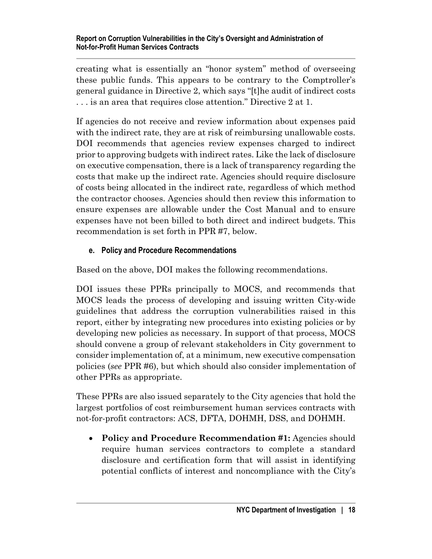creating what is essentially an "honor system" method of overseeing these public funds. This appears to be contrary to the Comptroller's general guidance in Directive 2, which says "[t]he audit of indirect costs . . . is an area that requires close attention." Directive 2 at 1.

If agencies do not receive and review information about expenses paid with the indirect rate, they are at risk of reimbursing unallowable costs. DOI recommends that agencies review expenses charged to indirect prior to approving budgets with indirect rates. Like the lack of disclosure on executive compensation, there is a lack of transparency regarding the costs that make up the indirect rate. Agencies should require disclosure of costs being allocated in the indirect rate, regardless of which method the contractor chooses. Agencies should then review this information to ensure expenses are allowable under the Cost Manual and to ensure expenses have not been billed to both direct and indirect budgets. This recommendation is set forth in PPR #7, below.

## <span id="page-22-0"></span>**e. Policy and Procedure Recommendations**

Based on the above, DOI makes the following recommendations.

DOI issues these PPRs principally to MOCS, and recommends that MOCS leads the process of developing and issuing written City-wide guidelines that address the corruption vulnerabilities raised in this report, either by integrating new procedures into existing policies or by developing new policies as necessary. In support of that process, MOCS should convene a group of relevant stakeholders in City government to consider implementation of, at a minimum, new executive compensation policies (*see* PPR #6), but which should also consider implementation of other PPRs as appropriate.

These PPRs are also issued separately to the City agencies that hold the largest portfolios of cost reimbursement human services contracts with not-for-profit contractors: ACS, DFTA, DOHMH, DSS, and DOHMH.

• **Policy and Procedure Recommendation #1:** Agencies should require human services contractors to complete a standard disclosure and certification form that will assist in identifying potential conflicts of interest and noncompliance with the City's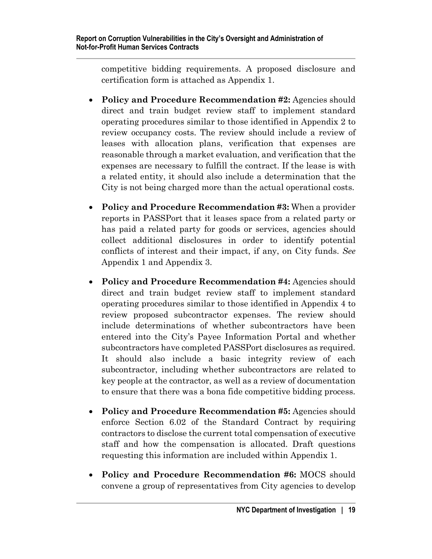competitive bidding requirements. A proposed disclosure and certification form is attached as Appendix 1.

- **Policy and Procedure Recommendation #2:** Agencies should direct and train budget review staff to implement standard operating procedures similar to those identified in Appendix 2 to review occupancy costs. The review should include a review of leases with allocation plans, verification that expenses are reasonable through a market evaluation, and verification that the expenses are necessary to fulfill the contract. If the lease is with a related entity, it should also include a determination that the City is not being charged more than the actual operational costs.
- **Policy and Procedure Recommendation #3:** When a provider reports in PASSPort that it leases space from a related party or has paid a related party for goods or services, agencies should collect additional disclosures in order to identify potential conflicts of interest and their impact, if any, on City funds. *See* Appendix 1 and Appendix 3.
- **Policy and Procedure Recommendation #4:** Agencies should direct and train budget review staff to implement standard operating procedures similar to those identified in Appendix 4 to review proposed subcontractor expenses. The review should include determinations of whether subcontractors have been entered into the City's Payee Information Portal and whether subcontractors have completed PASSPort disclosures as required. It should also include a basic integrity review of each subcontractor, including whether subcontractors are related to key people at the contractor, as well as a review of documentation to ensure that there was a bona fide competitive bidding process.
- **Policy and Procedure Recommendation #5:** Agencies should enforce Section 6.02 of the Standard Contract by requiring contractors to disclose the current total compensation of executive staff and how the compensation is allocated. Draft questions requesting this information are included within Appendix 1.
- **Policy and Procedure Recommendation #6:** MOCS should convene a group of representatives from City agencies to develop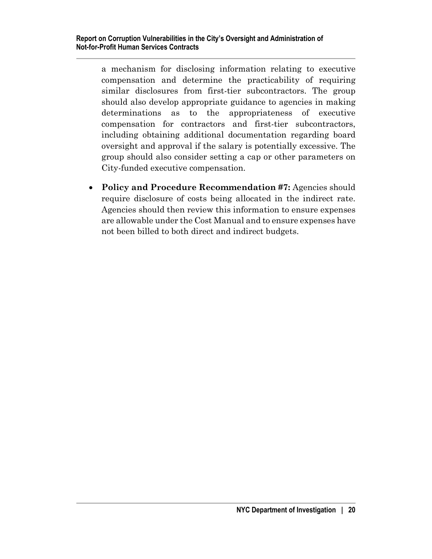a mechanism for disclosing information relating to executive compensation and determine the practicability of requiring similar disclosures from first-tier subcontractors. The group should also develop appropriate guidance to agencies in making determinations as to the appropriateness of executive compensation for contractors and first-tier subcontractors, including obtaining additional documentation regarding board oversight and approval if the salary is potentially excessive. The group should also consider setting a cap or other parameters on City-funded executive compensation.

• **Policy and Procedure Recommendation #7:** Agencies should require disclosure of costs being allocated in the indirect rate. Agencies should then review this information to ensure expenses are allowable under the Cost Manual and to ensure expenses have not been billed to both direct and indirect budgets.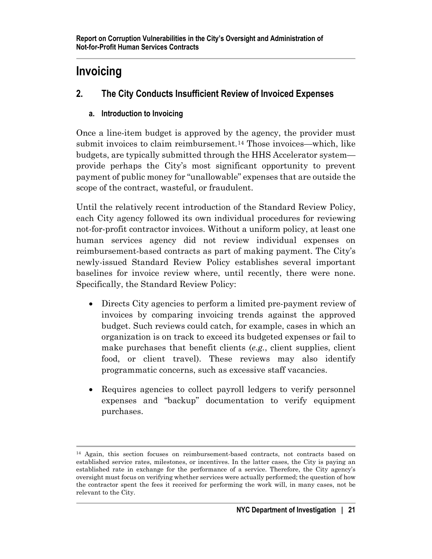# <span id="page-25-0"></span>**Invoicing**

# <span id="page-25-1"></span>**2. The City Conducts Insufficient Review of Invoiced Expenses**

# <span id="page-25-2"></span>**a. Introduction to Invoicing**

Once a line-item budget is approved by the agency, the provider must submit invoices to claim reimbursement.<sup>[14](#page-25-3)</sup> Those invoices—which, like budgets, are typically submitted through the HHS Accelerator system provide perhaps the City's most significant opportunity to prevent payment of public money for "unallowable" expenses that are outside the scope of the contract, wasteful, or fraudulent.

Until the relatively recent introduction of the Standard Review Policy, each City agency followed its own individual procedures for reviewing not-for-profit contractor invoices. Without a uniform policy, at least one human services agency did not review individual expenses on reimbursement-based contracts as part of making payment. The City's newly-issued Standard Review Policy establishes several important baselines for invoice review where, until recently, there were none. Specifically, the Standard Review Policy:

- Directs City agencies to perform a limited pre-payment review of invoices by comparing invoicing trends against the approved budget. Such reviews could catch, for example, cases in which an organization is on track to exceed its budgeted expenses or fail to make purchases that benefit clients (*e.g.*, client supplies, client food, or client travel). These reviews may also identify programmatic concerns, such as excessive staff vacancies.
- Requires agencies to collect payroll ledgers to verify personnel expenses and "backup" documentation to verify equipment purchases.

<span id="page-25-3"></span><sup>14</sup> Again, this section focuses on reimbursement-based contracts, not contracts based on established service rates, milestones, or incentives. In the latter cases, the City is paying an established rate in exchange for the performance of a service. Therefore, the City agency's oversight must focus on verifying whether services were actually performed; the question of how the contractor spent the fees it received for performing the work will, in many cases, not be relevant to the City.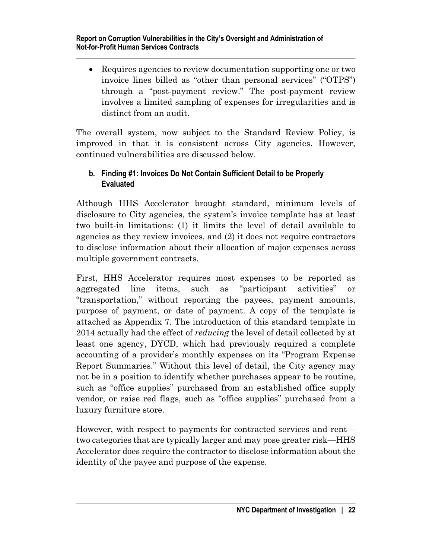• Requires agencies to review documentation supporting one or two invoice lines billed as "other than personal services" ("OTPS") through a "post-payment review." The post-payment review involves a limited sampling of expenses for irregularities and is distinct from an audit.

The overall system, now subject to the Standard Review Policy, is improved in that it is consistent across City agencies. However, continued vulnerabilities are discussed below.

#### <span id="page-26-0"></span>**b. Finding #1: Invoices Do Not Contain Sufficient Detail to be Properly Evaluated**

Although HHS Accelerator brought standard, minimum levels of disclosure to City agencies, the system's invoice template has at least two built-in limitations: (1) it limits the level of detail available to agencies as they review invoices, and (2) it does not require contractors to disclose information about their allocation of major expenses across multiple government contracts.

First, HHS Accelerator requires most expenses to be reported as aggregated line items, such as "participant activities" or "transportation," without reporting the payees, payment amounts, purpose of payment, or date of payment. A copy of the template is attached as Appendix 7. The introduction of this standard template in 2014 actually had the effect of *reducing* the level of detail collected by at least one agency, DYCD, which had previously required a complete accounting of a provider's monthly expenses on its "Program Expense Report Summaries." Without this level of detail, the City agency may not be in a position to identify whether purchases appear to be routine, such as "office supplies" purchased from an established office supply vendor, or raise red flags, such as "office supplies" purchased from a luxury furniture store.

However, with respect to payments for contracted services and rent two categories that are typically larger and may pose greater risk—HHS Accelerator does require the contractor to disclose information about the identity of the payee and purpose of the expense.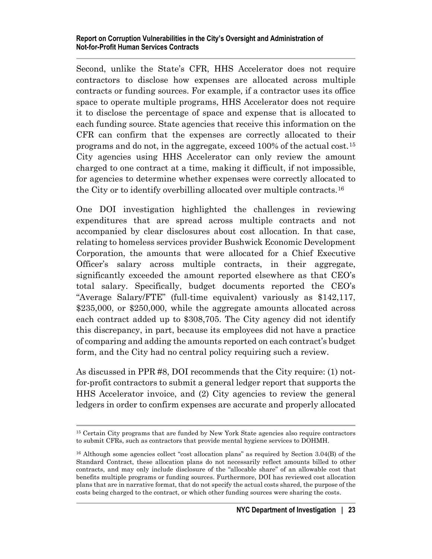#### **Report on Corruption Vulnerabilities in the City's Oversight and Administration of Not-for-Profit Human Services Contracts**

Second, unlike the State's CFR, HHS Accelerator does not require contractors to disclose how expenses are allocated across multiple contracts or funding sources. For example, if a contractor uses its office space to operate multiple programs, HHS Accelerator does not require it to disclose the percentage of space and expense that is allocated to each funding source. State agencies that receive this information on the CFR can confirm that the expenses are correctly allocated to their programs and do not, in the aggregate, exceed 100% of the actual cost.[15](#page-27-0) City agencies using HHS Accelerator can only review the amount charged to one contract at a time, making it difficult, if not impossible, for agencies to determine whether expenses were correctly allocated to the City or to identify overbilling allocated over multiple contracts.[16](#page-27-1)

One DOI investigation highlighted the challenges in reviewing expenditures that are spread across multiple contracts and not accompanied by clear disclosures about cost allocation. In that case, relating to homeless services provider Bushwick Economic Development Corporation, the amounts that were allocated for a Chief Executive Officer's salary across multiple contracts, in their aggregate, significantly exceeded the amount reported elsewhere as that CEO's total salary. Specifically, budget documents reported the CEO's "Average Salary/FTE" (full-time equivalent) variously as \$142,117, \$235,000, or \$250,000, while the aggregate amounts allocated across each contract added up to \$308,705. The City agency did not identify this discrepancy, in part, because its employees did not have a practice of comparing and adding the amounts reported on each contract's budget form, and the City had no central policy requiring such a review.

As discussed in PPR #8, DOI recommends that the City require: (1) notfor-profit contractors to submit a general ledger report that supports the HHS Accelerator invoice, and (2) City agencies to review the general ledgers in order to confirm expenses are accurate and properly allocated

<span id="page-27-0"></span><sup>15</sup> Certain City programs that are funded by New York State agencies also require contractors to submit CFRs, such as contractors that provide mental hygiene services to DOHMH.

<span id="page-27-1"></span><sup>&</sup>lt;sup>16</sup> Although some agencies collect "cost allocation plans" as required by Section 3.04(B) of the Standard Contract, these allocation plans do not necessarily reflect amounts billed to other contracts, and may only include disclosure of the "allocable share" of an allowable cost that benefits multiple programs or funding sources. Furthermore, DOI has reviewed cost allocation plans that are in narrative format, that do not specify the actual costs shared, the purpose of the costs being charged to the contract, or which other funding sources were sharing the costs.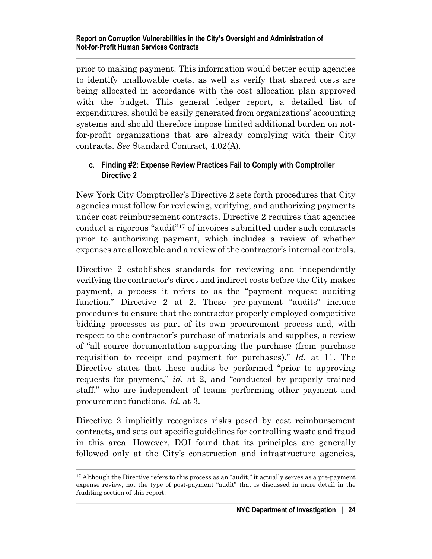prior to making payment. This information would better equip agencies to identify unallowable costs, as well as verify that shared costs are being allocated in accordance with the cost allocation plan approved with the budget. This general ledger report, a detailed list of expenditures, should be easily generated from organizations' accounting systems and should therefore impose limited additional burden on notfor-profit organizations that are already complying with their City contracts. *See* Standard Contract, 4.02(A).

#### <span id="page-28-0"></span>**c. Finding #2: Expense Review Practices Fail to Comply with Comptroller Directive 2**

New York City Comptroller's Directive 2 sets forth procedures that City agencies must follow for reviewing, verifying, and authorizing payments under cost reimbursement contracts. Directive 2 requires that agencies conduct a rigorous "audit"[17](#page-28-1) of invoices submitted under such contracts prior to authorizing payment, which includes a review of whether expenses are allowable and a review of the contractor's internal controls.

Directive 2 establishes standards for reviewing and independently verifying the contractor's direct and indirect costs before the City makes payment, a process it refers to as the "payment request auditing function." Directive 2 at 2. These pre-payment "audits" include procedures to ensure that the contractor properly employed competitive bidding processes as part of its own procurement process and, with respect to the contractor's purchase of materials and supplies, a review of "all source documentation supporting the purchase (from purchase requisition to receipt and payment for purchases)." *Id.* at 11. The Directive states that these audits be performed "prior to approving requests for payment," *id.* at 2, and "conducted by properly trained staff," who are independent of teams performing other payment and procurement functions. *Id.* at 3.

Directive 2 implicitly recognizes risks posed by cost reimbursement contracts, and sets out specific guidelines for controlling waste and fraud in this area. However, DOI found that its principles are generally followed only at the City's construction and infrastructure agencies,

<span id="page-28-1"></span><sup>&</sup>lt;sup>17</sup> Although the Directive refers to this process as an "audit," it actually serves as a pre-payment expense review, not the type of post-payment "audit" that is discussed in more detail in the Auditing section of this report.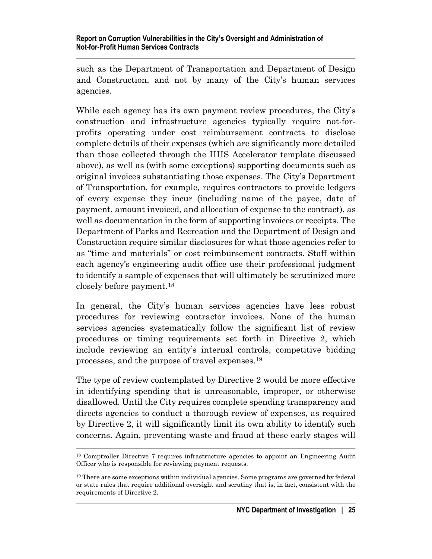such as the Department of Transportation and Department of Design and Construction, and not by many of the City's human services agencies.

While each agency has its own payment review procedures, the City's construction and infrastructure agencies typically require not-forprofits operating under cost reimbursement contracts to disclose complete details of their expenses (which are significantly more detailed than those collected through the HHS Accelerator template discussed above), as well as (with some exceptions) supporting documents such as original invoices substantiating those expenses. The City's Department of Transportation, for example, requires contractors to provide ledgers of every expense they incur (including name of the payee, date of payment, amount invoiced, and allocation of expense to the contract), as well as documentation in the form of supporting invoices or receipts. The Department of Parks and Recreation and the Department of Design and Construction require similar disclosures for what those agencies refer to as "time and materials" or cost reimbursement contracts. Staff within each agency's engineering audit office use their professional judgment to identify a sample of expenses that will ultimately be scrutinized more closely before payment.[18](#page-29-0)

In general, the City's human services agencies have less robust procedures for reviewing contractor invoices. None of the human services agencies systematically follow the significant list of review procedures or timing requirements set forth in Directive 2, which include reviewing an entity's internal controls, competitive bidding processes, and the purpose of travel expenses.[19](#page-29-1) 

The type of review contemplated by Directive 2 would be more effective in identifying spending that is unreasonable, improper, or otherwise disallowed. Until the City requires complete spending transparency and directs agencies to conduct a thorough review of expenses, as required by Directive 2, it will significantly limit its own ability to identify such concerns. Again, preventing waste and fraud at these early stages will

<span id="page-29-0"></span><sup>18</sup> Comptroller Directive 7 requires infrastructure agencies to appoint an Engineering Audit Officer who is responsible for reviewing payment requests.

<span id="page-29-1"></span> $19$  There are some exceptions within individual agencies. Some programs are governed by federal or state rules that require additional oversight and scrutiny that is, in fact, consistent with the requirements of Directive 2.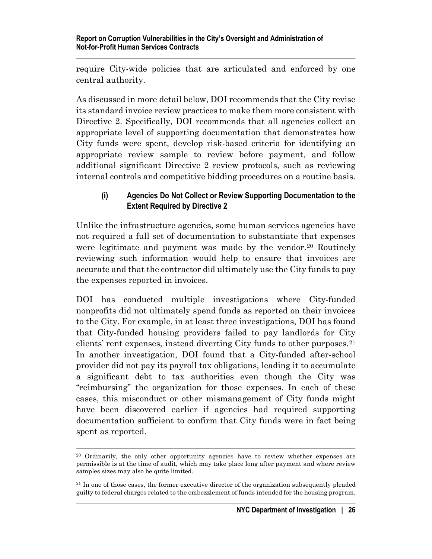require City-wide policies that are articulated and enforced by one central authority.

As discussed in more detail below, DOI recommends that the City revise its standard invoice review practices to make them more consistent with Directive 2. Specifically, DOI recommends that all agencies collect an appropriate level of supporting documentation that demonstrates how City funds were spent, develop risk-based criteria for identifying an appropriate review sample to review before payment, and follow additional significant Directive 2 review protocols, such as reviewing internal controls and competitive bidding procedures on a routine basis.

#### <span id="page-30-0"></span>**(i) Agencies Do Not Collect or Review Supporting Documentation to the Extent Required by Directive 2**

Unlike the infrastructure agencies, some human services agencies have not required a full set of documentation to substantiate that expenses were legitimate and payment was made by the vendor.<sup>[20](#page-30-1)</sup> Routinely reviewing such information would help to ensure that invoices are accurate and that the contractor did ultimately use the City funds to pay the expenses reported in invoices.

DOI has conducted multiple investigations where City-funded nonprofits did not ultimately spend funds as reported on their invoices to the City. For example, in at least three investigations, DOI has found that City-funded housing providers failed to pay landlords for City clients' rent expenses, instead diverting City funds to other purposes.[21](#page-30-2) In another investigation, DOI found that a City-funded after-school provider did not pay its payroll tax obligations, leading it to accumulate a significant debt to tax authorities even though the City was "reimbursing" the organization for those expenses. In each of these cases, this misconduct or other mismanagement of City funds might have been discovered earlier if agencies had required supporting documentation sufficient to confirm that City funds were in fact being spent as reported.

<span id="page-30-1"></span><sup>&</sup>lt;sup>20</sup> Ordinarily, the only other opportunity agencies have to review whether expenses are permissible is at the time of audit, which may take place long after payment and where review samples sizes may also be quite limited.

<span id="page-30-2"></span> $21$  In one of those cases, the former executive director of the organization subsequently pleaded guilty to federal charges related to the embezzlement of funds intended for the housing program.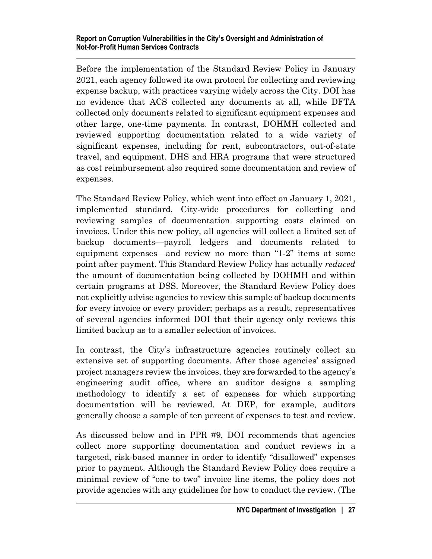#### **Report on Corruption Vulnerabilities in the City's Oversight and Administration of Not-for-Profit Human Services Contracts**

Before the implementation of the Standard Review Policy in January 2021, each agency followed its own protocol for collecting and reviewing expense backup, with practices varying widely across the City. DOI has no evidence that ACS collected any documents at all, while DFTA collected only documents related to significant equipment expenses and other large, one-time payments. In contrast, DOHMH collected and reviewed supporting documentation related to a wide variety of significant expenses, including for rent, subcontractors, out-of-state travel, and equipment. DHS and HRA programs that were structured as cost reimbursement also required some documentation and review of expenses.

The Standard Review Policy, which went into effect on January 1, 2021, implemented standard, City-wide procedures for collecting and reviewing samples of documentation supporting costs claimed on invoices. Under this new policy, all agencies will collect a limited set of backup documents—payroll ledgers and documents related to equipment expenses—and review no more than "1-2" items at some point after payment. This Standard Review Policy has actually *reduced* the amount of documentation being collected by DOHMH and within certain programs at DSS. Moreover, the Standard Review Policy does not explicitly advise agencies to review this sample of backup documents for every invoice or every provider; perhaps as a result, representatives of several agencies informed DOI that their agency only reviews this limited backup as to a smaller selection of invoices.

In contrast, the City's infrastructure agencies routinely collect an extensive set of supporting documents. After those agencies' assigned project managers review the invoices, they are forwarded to the agency's engineering audit office, where an auditor designs a sampling methodology to identify a set of expenses for which supporting documentation will be reviewed. At DEP, for example, auditors generally choose a sample of ten percent of expenses to test and review.

As discussed below and in PPR #9, DOI recommends that agencies collect more supporting documentation and conduct reviews in a targeted, risk-based manner in order to identify "disallowed" expenses prior to payment. Although the Standard Review Policy does require a minimal review of "one to two" invoice line items, the policy does not provide agencies with any guidelines for how to conduct the review. (The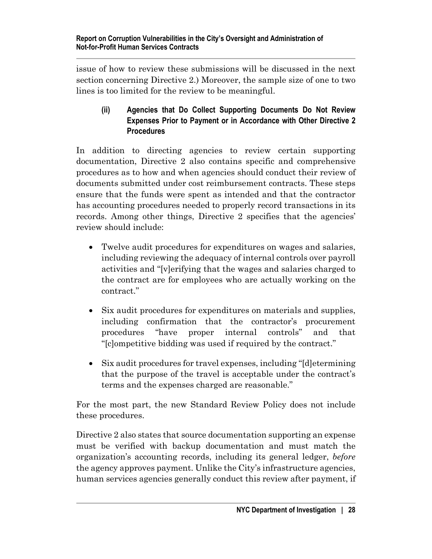issue of how to review these submissions will be discussed in the next section concerning Directive 2.) Moreover, the sample size of one to two lines is too limited for the review to be meaningful.

## <span id="page-32-0"></span>**(ii) Agencies that Do Collect Supporting Documents Do Not Review Expenses Prior to Payment or in Accordance with Other Directive 2 Procedures**

In addition to directing agencies to review certain supporting documentation, Directive 2 also contains specific and comprehensive procedures as to how and when agencies should conduct their review of documents submitted under cost reimbursement contracts. These steps ensure that the funds were spent as intended and that the contractor has accounting procedures needed to properly record transactions in its records. Among other things, Directive 2 specifies that the agencies' review should include:

- Twelve audit procedures for expenditures on wages and salaries, including reviewing the adequacy of internal controls over payroll activities and "[v]erifying that the wages and salaries charged to the contract are for employees who are actually working on the contract."
- Six audit procedures for expenditures on materials and supplies, including confirmation that the contractor's procurement procedures "have proper internal controls" and that "[c]ompetitive bidding was used if required by the contract."
- Six audit procedures for travel expenses, including "[d]etermining" that the purpose of the travel is acceptable under the contract's terms and the expenses charged are reasonable."

For the most part, the new Standard Review Policy does not include these procedures.

Directive 2 also states that source documentation supporting an expense must be verified with backup documentation and must match the organization's accounting records, including its general ledger, *before*  the agency approves payment. Unlike the City's infrastructure agencies, human services agencies generally conduct this review after payment, if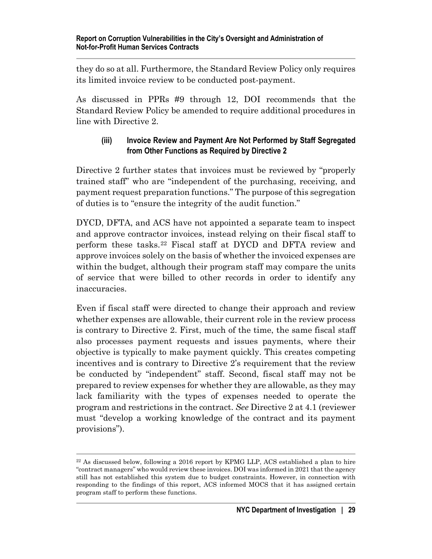they do so at all. Furthermore, the Standard Review Policy only requires its limited invoice review to be conducted post-payment.

As discussed in PPRs #9 through 12, DOI recommends that the Standard Review Policy be amended to require additional procedures in line with Directive 2.

#### <span id="page-33-0"></span>**(iii) Invoice Review and Payment Are Not Performed by Staff Segregated from Other Functions as Required by Directive 2**

Directive 2 further states that invoices must be reviewed by "properly trained staff" who are "independent of the purchasing, receiving, and payment request preparation functions." The purpose of this segregation of duties is to "ensure the integrity of the audit function."

DYCD, DFTA, and ACS have not appointed a separate team to inspect and approve contractor invoices, instead relying on their fiscal staff to perform these tasks.[22](#page-33-1) Fiscal staff at DYCD and DFTA review and approve invoices solely on the basis of whether the invoiced expenses are within the budget, although their program staff may compare the units of service that were billed to other records in order to identify any inaccuracies.

Even if fiscal staff were directed to change their approach and review whether expenses are allowable, their current role in the review process is contrary to Directive 2. First, much of the time, the same fiscal staff also processes payment requests and issues payments, where their objective is typically to make payment quickly. This creates competing incentives and is contrary to Directive 2's requirement that the review be conducted by "independent" staff. Second, fiscal staff may not be prepared to review expenses for whether they are allowable, as they may lack familiarity with the types of expenses needed to operate the program and restrictions in the contract. *See* Directive 2 at 4.1 (reviewer must "develop a working knowledge of the contract and its payment provisions").

<span id="page-33-1"></span><sup>&</sup>lt;sup>22</sup> As discussed below, following a 2016 report by KPMG LLP, ACS established a plan to hire "contract managers" who would review these invoices. DOI was informed in 2021 that the agency still has not established this system due to budget constraints. However, in connection with responding to the findings of this report, ACS informed MOCS that it has assigned certain program staff to perform these functions.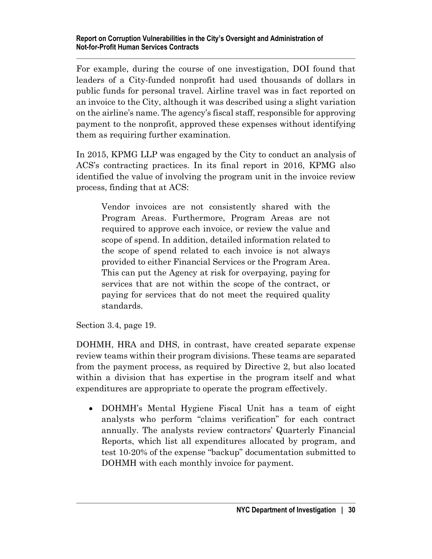For example, during the course of one investigation, DOI found that leaders of a City-funded nonprofit had used thousands of dollars in public funds for personal travel. Airline travel was in fact reported on an invoice to the City, although it was described using a slight variation on the airline's name. The agency's fiscal staff, responsible for approving payment to the nonprofit, approved these expenses without identifying them as requiring further examination.

In 2015, KPMG LLP was engaged by the City to conduct an analysis of ACS's contracting practices. In its final report in 2016, KPMG also identified the value of involving the program unit in the invoice review process, finding that at ACS:

Vendor invoices are not consistently shared with the Program Areas. Furthermore, Program Areas are not required to approve each invoice, or review the value and scope of spend. In addition, detailed information related to the scope of spend related to each invoice is not always provided to either Financial Services or the Program Area. This can put the Agency at risk for overpaying, paying for services that are not within the scope of the contract, or paying for services that do not meet the required quality standards.

Section 3.4, page 19.

DOHMH, HRA and DHS, in contrast, have created separate expense review teams within their program divisions. These teams are separated from the payment process, as required by Directive 2, but also located within a division that has expertise in the program itself and what expenditures are appropriate to operate the program effectively.

• DOHMH's Mental Hygiene Fiscal Unit has a team of eight analysts who perform "claims verification" for each contract annually. The analysts review contractors' Quarterly Financial Reports, which list all expenditures allocated by program, and test 10-20% of the expense "backup" documentation submitted to DOHMH with each monthly invoice for payment.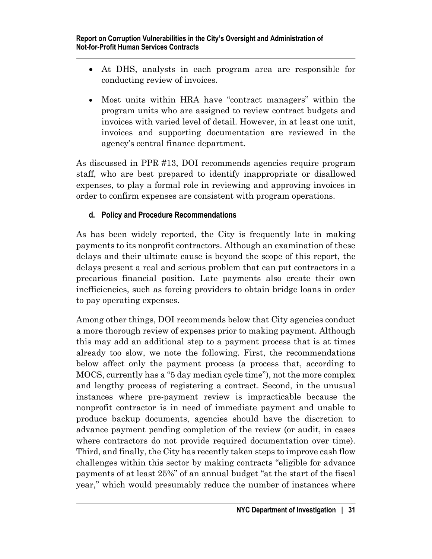- At DHS, analysts in each program area are responsible for conducting review of invoices.
- Most units within HRA have "contract managers" within the program units who are assigned to review contract budgets and invoices with varied level of detail. However, in at least one unit, invoices and supporting documentation are reviewed in the agency's central finance department.

As discussed in PPR #13, DOI recommends agencies require program staff, who are best prepared to identify inappropriate or disallowed expenses, to play a formal role in reviewing and approving invoices in order to confirm expenses are consistent with program operations.

## <span id="page-35-0"></span>**d. Policy and Procedure Recommendations**

As has been widely reported, the City is frequently late in making payments to its nonprofit contractors. Although an examination of these delays and their ultimate cause is beyond the scope of this report, the delays present a real and serious problem that can put contractors in a precarious financial position. Late payments also create their own inefficiencies, such as forcing providers to obtain bridge loans in order to pay operating expenses.

Among other things, DOI recommends below that City agencies conduct a more thorough review of expenses prior to making payment. Although this may add an additional step to a payment process that is at times already too slow, we note the following. First, the recommendations below affect only the payment process (a process that, according to MOCS, currently has a "5 day median cycle time"), not the more complex and lengthy process of registering a contract. Second, in the unusual instances where pre-payment review is impracticable because the nonprofit contractor is in need of immediate payment and unable to produce backup documents, agencies should have the discretion to advance payment pending completion of the review (or audit, in cases where contractors do not provide required documentation over time). Third, and finally, the City has recently taken steps to improve cash flow challenges within this sector by making contracts "eligible for advance payments of at least 25%" of an annual budget "at the start of the fiscal year," which would presumably reduce the number of instances where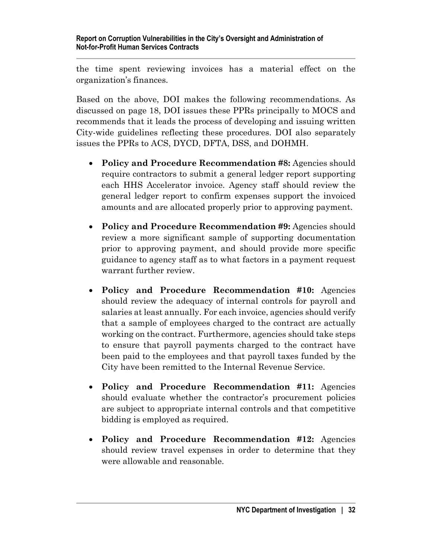the time spent reviewing invoices has a material effect on the organization's finances.

Based on the above, DOI makes the following recommendations. As discussed on page 18, DOI issues these PPRs principally to MOCS and recommends that it leads the process of developing and issuing written City-wide guidelines reflecting these procedures. DOI also separately issues the PPRs to ACS, DYCD, DFTA, DSS, and DOHMH.

- **Policy and Procedure Recommendation #8:** Agencies should require contractors to submit a general ledger report supporting each HHS Accelerator invoice. Agency staff should review the general ledger report to confirm expenses support the invoiced amounts and are allocated properly prior to approving payment.
- **Policy and Procedure Recommendation #9:** Agencies should review a more significant sample of supporting documentation prior to approving payment, and should provide more specific guidance to agency staff as to what factors in a payment request warrant further review.
- **Policy and Procedure Recommendation #10:** Agencies should review the adequacy of internal controls for payroll and salaries at least annually. For each invoice, agencies should verify that a sample of employees charged to the contract are actually working on the contract. Furthermore, agencies should take steps to ensure that payroll payments charged to the contract have been paid to the employees and that payroll taxes funded by the City have been remitted to the Internal Revenue Service.
- **Policy and Procedure Recommendation #11:** Agencies should evaluate whether the contractor's procurement policies are subject to appropriate internal controls and that competitive bidding is employed as required.
- **Policy and Procedure Recommendation #12:** Agencies should review travel expenses in order to determine that they were allowable and reasonable.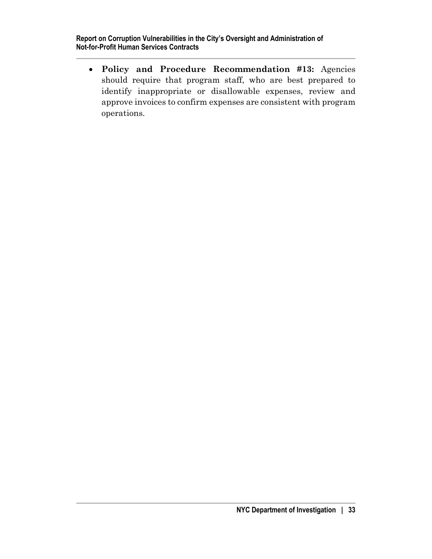• **Policy and Procedure Recommendation #13:** Agencies should require that program staff, who are best prepared to identify inappropriate or disallowable expenses, review and approve invoices to confirm expenses are consistent with program operations.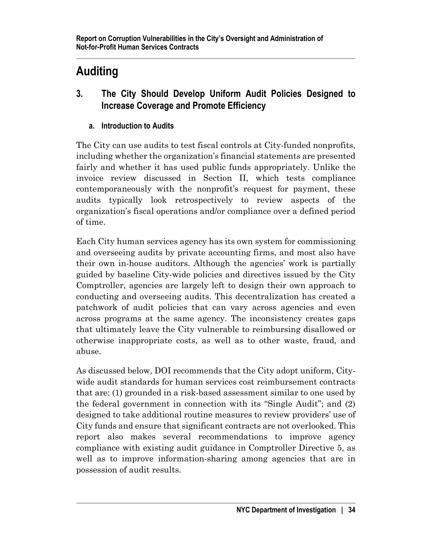# **Auditing**

- **3. The City Should Develop Uniform Audit Policies Designed to Increase Coverage and Promote Efficiency**
	- **a. Introduction to Audits**

The City can use audits to test fiscal controls at City-funded nonprofits, including whether the organization's financial statements are presented fairly and whether it has used public funds appropriately. Unlike the invoice review discussed in Section II, which tests compliance contemporaneously with the nonprofit's request for payment, these audits typically look retrospectively to review aspects of the organization's fiscal operations and/or compliance over a defined period of time.

Each City human services agency has its own system for commissioning and overseeing audits by private accounting firms, and most also have their own in-house auditors. Although the agencies' work is partially guided by baseline City-wide policies and directives issued by the City Comptroller, agencies are largely left to design their own approach to conducting and overseeing audits. This decentralization has created a patchwork of audit policies that can vary across agencies and even across programs at the same agency. The inconsistency creates gaps that ultimately leave the City vulnerable to reimbursing disallowed or otherwise inappropriate costs, as well as to other waste, fraud, and abuse.

As discussed below, DOI recommends that the City adopt uniform, Citywide audit standards for human services cost reimbursement contracts that are: (1) grounded in a risk-based assessment similar to one used by the federal government in connection with its "Single Audit"; and (2) designed to take additional routine measures to review providers' use of City funds and ensure that significant contracts are not overlooked. This report also makes several recommendations to improve agency compliance with existing audit guidance in Comptroller Directive 5, as well as to improve information-sharing among agencies that are in possession of audit results.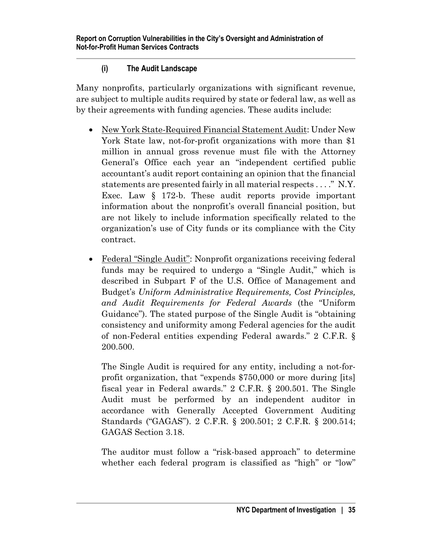# **(i) The Audit Landscape**

Many nonprofits, particularly organizations with significant revenue, are subject to multiple audits required by state or federal law, as well as by their agreements with funding agencies. These audits include:

- New York State-Required Financial Statement Audit: Under New York State law, not-for-profit organizations with more than \$1 million in annual gross revenue must file with the Attorney General's Office each year an "independent certified public accountant's audit report containing an opinion that the financial statements are presented fairly in all material respects . . . ." N.Y. Exec. Law § 172-b. These audit reports provide important information about the nonprofit's overall financial position, but are not likely to include information specifically related to the organization's use of City funds or its compliance with the City contract.
- Federal "Single Audit": Nonprofit organizations receiving federal funds may be required to undergo a "Single Audit," which is described in Subpart F of the U.S. Office of Management and Budget's *Uniform Administrative Requirements, Cost Principles, and Audit Requirements for Federal Awards* (the "Uniform Guidance"). The stated purpose of the Single Audit is "obtaining consistency and uniformity among Federal agencies for the audit of non-Federal entities expending Federal awards." 2 C.F.R. § 200.500.

The Single Audit is required for any entity, including a not-forprofit organization, that "expends \$750,000 or more during [its] fiscal year in Federal awards." 2 C.F.R. § 200.501. The Single Audit must be performed by an independent auditor in accordance with Generally Accepted Government Auditing Standards ("GAGAS"). 2 C.F.R. § 200.501; 2 C.F.R. § 200.514; GAGAS Section 3.18.

The auditor must follow a "risk-based approach" to determine whether each federal program is classified as "high" or "low"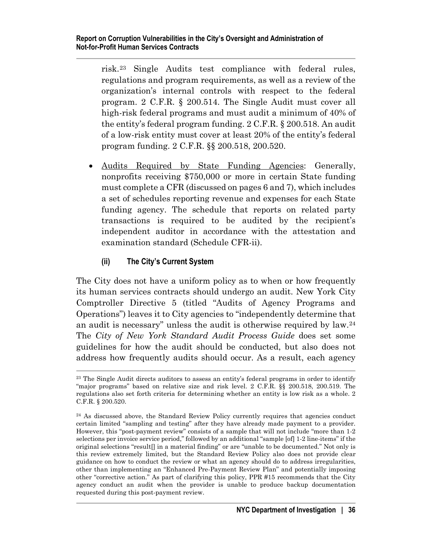risk.[23](#page-40-0) Single Audits test compliance with federal rules, regulations and program requirements, as well as a review of the organization's internal controls with respect to the federal program. 2 C.F.R. § 200.514. The Single Audit must cover all high-risk federal programs and must audit a minimum of 40% of the entity's federal program funding. 2 C.F.R. § 200.518. An audit of a low-risk entity must cover at least 20% of the entity's federal program funding. 2 C.F.R. §§ 200.518, 200.520.

• Audits Required by State Funding Agencies: Generally, nonprofits receiving \$750,000 or more in certain State funding must complete a CFR (discussed on pages 6 and 7), which includes a set of schedules reporting revenue and expenses for each State funding agency. The schedule that reports on related party transactions is required to be audited by the recipient's independent auditor in accordance with the attestation and examination standard (Schedule CFR-ii).

## **(ii) The City's Current System**

The City does not have a uniform policy as to when or how frequently its human services contracts should undergo an audit. New York City Comptroller Directive 5 (titled "Audits of Agency Programs and Operations") leaves it to City agencies to "independently determine that an audit is necessary" unless the audit is otherwise required by law.[24](#page-40-1) The *City of New York Standard Audit Process Guide* does set some guidelines for how the audit should be conducted, but also does not address how frequently audits should occur. As a result, each agency

<span id="page-40-0"></span><sup>&</sup>lt;sup>23</sup> The Single Audit directs auditors to assess an entity's federal programs in order to identify "major programs" based on relative size and risk level. 2 C.F.R. §§ 200.518, 200.519. The regulations also set forth criteria for determining whether an entity is low risk as a whole. 2 C.F.R. § 200.520.

<span id="page-40-1"></span> $24$  As discussed above, the Standard Review Policy currently requires that agencies conduct certain limited "sampling and testing" after they have already made payment to a provider. However, this "post-payment review" consists of a sample that will not include "more than 1-2 selections per invoice service period," followed by an additional "sample [of] 1-2 line-items" if the original selections "result[] in a material finding" or are "unable to be documented." Not only is this review extremely limited, but the Standard Review Policy also does not provide clear guidance on how to conduct the review or what an agency should do to address irregularities, other than implementing an "Enhanced Pre-Payment Review Plan" and potentially imposing other "corrective action." As part of clarifying this policy, PPR #15 recommends that the City agency conduct an audit when the provider is unable to produce backup documentation requested during this post-payment review.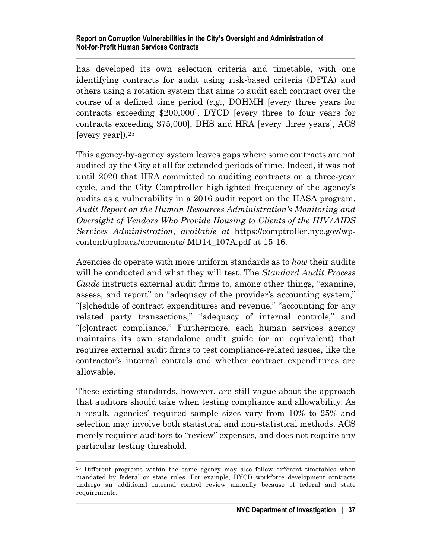has developed its own selection criteria and timetable, with one identifying contracts for audit using risk-based criteria (DFTA) and others using a rotation system that aims to audit each contract over the course of a defined time period (*e.g.*, DOHMH [every three years for contracts exceeding \$200,000], DYCD [every three to four years for contracts exceeding \$75,000], DHS and HRA [every three years], ACS [every year]).[25](#page-41-0)

This agency-by-agency system leaves gaps where some contracts are not audited by the City at all for extended periods of time. Indeed, it was not until 2020 that HRA committed to auditing contracts on a three-year cycle, and the City Comptroller highlighted frequency of the agency's audits as a vulnerability in a 2016 audit report on the HASA program. *Audit Report on the Human Resources Administration's Monitoring and Oversight of Vendors Who Provide Housing to Clients of the HIV/AIDS Services Administration*, *available at* [https://comptroller.nyc.gov/wp](https://comptroller.nyc.gov/wp-content/uploads/documents/)[content/uploads/documents/](https://comptroller.nyc.gov/wp-content/uploads/documents/) MD14\_107A.pdf at 15-16.

Agencies do operate with more uniform standards as to *how* their audits will be conducted and what they will test. The *Standard Audit Process Guide* instructs external audit firms to, among other things, "examine, assess, and report" on "adequacy of the provider's accounting system," "[s]chedule of contract expenditures and revenue," "accounting for any related party transactions," "adequacy of internal controls," and "[c]ontract compliance." Furthermore, each human services agency maintains its own standalone audit guide (or an equivalent) that requires external audit firms to test compliance-related issues, like the contractor's internal controls and whether contract expenditures are allowable.

These existing standards, however, are still vague about the approach that auditors should take when testing compliance and allowability. As a result, agencies' required sample sizes vary from 10% to 25% and selection may involve both statistical and non-statistical methods. ACS merely requires auditors to "review" expenses, and does not require any particular testing threshold.

<span id="page-41-0"></span><sup>&</sup>lt;sup>25</sup> Different programs within the same agency may also follow different timetables when mandated by federal or state rules. For example, DYCD workforce development contracts undergo an additional internal control review annually because of federal and state requirements.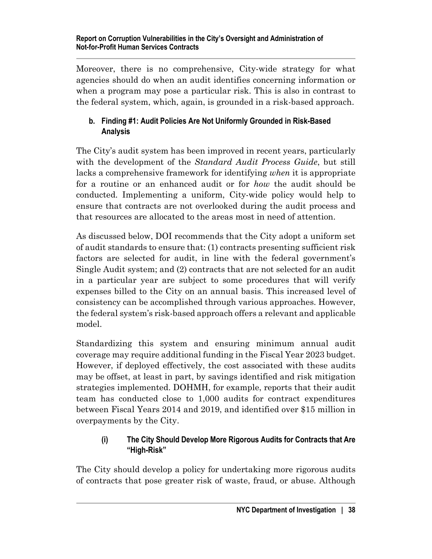Moreover, there is no comprehensive, City-wide strategy for what agencies should do when an audit identifies concerning information or when a program may pose a particular risk. This is also in contrast to the federal system, which, again, is grounded in a risk-based approach.

# **b. Finding #1: Audit Policies Are Not Uniformly Grounded in Risk-Based Analysis**

The City's audit system has been improved in recent years, particularly with the development of the *Standard Audit Process Guide*, but still lacks a comprehensive framework for identifying *when* it is appropriate for a routine or an enhanced audit or for *how* the audit should be conducted. Implementing a uniform, City-wide policy would help to ensure that contracts are not overlooked during the audit process and that resources are allocated to the areas most in need of attention.

As discussed below, DOI recommends that the City adopt a uniform set of audit standards to ensure that: (1) contracts presenting sufficient risk factors are selected for audit, in line with the federal government's Single Audit system; and (2) contracts that are not selected for an audit in a particular year are subject to some procedures that will verify expenses billed to the City on an annual basis. This increased level of consistency can be accomplished through various approaches. However, the federal system's risk-based approach offers a relevant and applicable model.

Standardizing this system and ensuring minimum annual audit coverage may require additional funding in the Fiscal Year 2023 budget. However, if deployed effectively, the cost associated with these audits may be offset, at least in part, by savings identified and risk mitigation strategies implemented. DOHMH, for example, reports that their audit team has conducted close to 1,000 audits for contract expenditures between Fiscal Years 2014 and 2019, and identified over \$15 million in overpayments by the City.

## **(i) The City Should Develop More Rigorous Audits for Contracts that Are "High-Risk"**

The City should develop a policy for undertaking more rigorous audits of contracts that pose greater risk of waste, fraud, or abuse. Although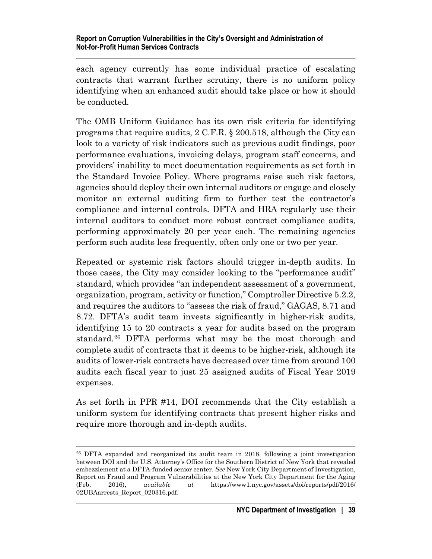each agency currently has some individual practice of escalating contracts that warrant further scrutiny, there is no uniform policy identifying when an enhanced audit should take place or how it should be conducted.

The OMB Uniform Guidance has its own risk criteria for identifying programs that require audits, 2 C.F.R. § 200.518, although the City can look to a variety of risk indicators such as previous audit findings, poor performance evaluations, invoicing delays, program staff concerns, and providers' inability to meet documentation requirements as set forth in the Standard Invoice Policy. Where programs raise such risk factors, agencies should deploy their own internal auditors or engage and closely monitor an external auditing firm to further test the contractor's compliance and internal controls. DFTA and HRA regularly use their internal auditors to conduct more robust contract compliance audits, performing approximately 20 per year each. The remaining agencies perform such audits less frequently, often only one or two per year.

Repeated or systemic risk factors should trigger in-depth audits. In those cases, the City may consider looking to the "performance audit" standard, which provides "an independent assessment of a government, organization, program, activity or function," Comptroller Directive 5.2.2, and requires the auditors to "assess the risk of fraud," GAGAS, 8.71 and 8.72. DFTA's audit team invests significantly in higher-risk audits, identifying 15 to 20 contracts a year for audits based on the program standard.[26](#page-43-0) DFTA performs what may be the most thorough and complete audit of contracts that it deems to be higher-risk, although its audits of lower-risk contracts have decreased over time from around 100 audits each fiscal year to just 25 assigned audits of Fiscal Year 2019 expenses.

As set forth in PPR #14, DOI recommends that the City establish a uniform system for identifying contracts that present higher risks and require more thorough and in-depth audits.

<span id="page-43-0"></span><sup>26</sup> DFTA expanded and reorganized its audit team in 2018, following a joint investigation between DOI and the U.S. Attorney's Office for the Southern District of New York that revealed embezzlement at a DFTA-funded senior center. *See* New York City Department of Investigation, Report on Fraud and Program Vulnerabilities at the New York City Department for the Aging (Feb. 2016), *available at* https://www1.nyc.gov/assets/doi/reports/pdf/2016/ 02UBAarrests\_Report\_020316.pdf.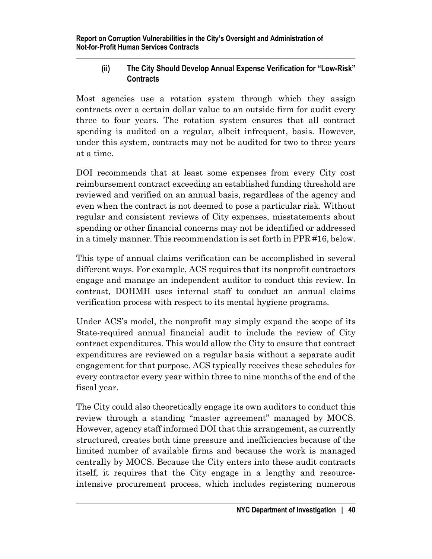## **(ii) The City Should Develop Annual Expense Verification for "Low-Risk" Contracts**

Most agencies use a rotation system through which they assign contracts over a certain dollar value to an outside firm for audit every three to four years. The rotation system ensures that all contract spending is audited on a regular, albeit infrequent, basis. However, under this system, contracts may not be audited for two to three years at a time.

DOI recommends that at least some expenses from every City cost reimbursement contract exceeding an established funding threshold are reviewed and verified on an annual basis, regardless of the agency and even when the contract is not deemed to pose a particular risk. Without regular and consistent reviews of City expenses, misstatements about spending or other financial concerns may not be identified or addressed in a timely manner. This recommendation is set forth in PPR #16, below.

This type of annual claims verification can be accomplished in several different ways. For example, ACS requires that its nonprofit contractors engage and manage an independent auditor to conduct this review. In contrast, DOHMH uses internal staff to conduct an annual claims verification process with respect to its mental hygiene programs.

Under ACS's model, the nonprofit may simply expand the scope of its State-required annual financial audit to include the review of City contract expenditures. This would allow the City to ensure that contract expenditures are reviewed on a regular basis without a separate audit engagement for that purpose. ACS typically receives these schedules for every contractor every year within three to nine months of the end of the fiscal year.

The City could also theoretically engage its own auditors to conduct this review through a standing "master agreement" managed by MOCS. However, agency staff informed DOI that this arrangement, as currently structured, creates both time pressure and inefficiencies because of the limited number of available firms and because the work is managed centrally by MOCS. Because the City enters into these audit contracts itself, it requires that the City engage in a lengthy and resourceintensive procurement process, which includes registering numerous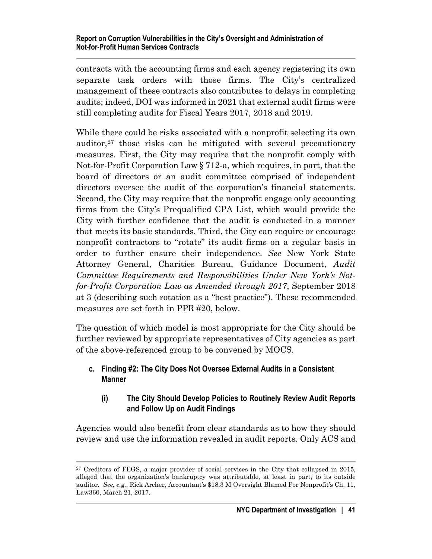contracts with the accounting firms and each agency registering its own separate task orders with those firms. The City's centralized management of these contracts also contributes to delays in completing audits; indeed, DOI was informed in 2021 that external audit firms were still completing audits for Fiscal Years 2017, 2018 and 2019.

While there could be risks associated with a nonprofit selecting its own auditor,[27](#page-45-0) those risks can be mitigated with several precautionary measures. First, the City may require that the nonprofit comply with Not-for-Profit Corporation Law § 712-a, which requires, in part, that the board of directors or an audit committee comprised of independent directors oversee the audit of the corporation's financial statements. Second, the City may require that the nonprofit engage only accounting firms from the City's Prequalified CPA List, which would provide the City with further confidence that the audit is conducted in a manner that meets its basic standards. Third, the City can require or encourage nonprofit contractors to "rotate" its audit firms on a regular basis in order to further ensure their independence. *See* New York State Attorney General, Charities Bureau, Guidance Document, *Audit Committee Requirements and Responsibilities Under New York's Notfor-Profit Corporation Law as Amended through 2017*, September 2018 at 3 (describing such rotation as a "best practice"). These recommended measures are set forth in PPR #20, below.

The question of which model is most appropriate for the City should be further reviewed by appropriate representatives of City agencies as part of the above-referenced group to be convened by MOCS.

## **c. Finding #2: The City Does Not Oversee External Audits in a Consistent Manner**

## **(i) The City Should Develop Policies to Routinely Review Audit Reports and Follow Up on Audit Findings**

Agencies would also benefit from clear standards as to how they should review and use the information revealed in audit reports. Only ACS and

<span id="page-45-0"></span><sup>&</sup>lt;sup>27</sup> Creditors of FEGS, a major provider of social services in the City that collapsed in 2015, alleged that the organization's bankruptcy was attributable, at least in part, to its outside auditor. *See, e.g.*, Rick Archer, Accountant's \$18.3 M Oversight Blamed For Nonprofit's Ch. 11, Law360, March 21, 2017.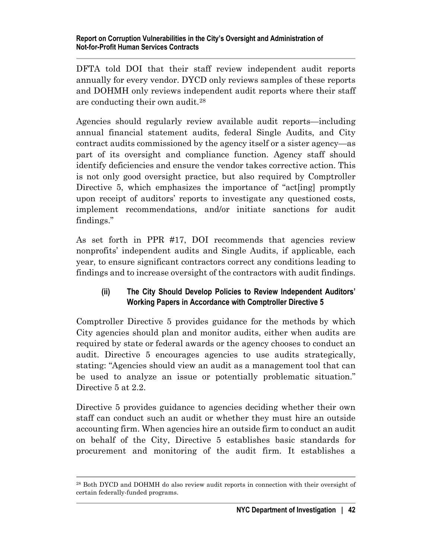DFTA told DOI that their staff review independent audit reports annually for every vendor. DYCD only reviews samples of these reports and DOHMH only reviews independent audit reports where their staff are conducting their own audit.[28](#page-46-0)

Agencies should regularly review available audit reports—including annual financial statement audits, federal Single Audits, and City contract audits commissioned by the agency itself or a sister agency—as part of its oversight and compliance function. Agency staff should identify deficiencies and ensure the vendor takes corrective action. This is not only good oversight practice, but also required by Comptroller Directive 5, which emphasizes the importance of "actling promptly" upon receipt of auditors' reports to investigate any questioned costs, implement recommendations, and/or initiate sanctions for audit findings."

As set forth in PPR #17, DOI recommends that agencies review nonprofits' independent audits and Single Audits, if applicable, each year, to ensure significant contractors correct any conditions leading to findings and to increase oversight of the contractors with audit findings.

## **(ii) The City Should Develop Policies to Review Independent Auditors' Working Papers in Accordance with Comptroller Directive 5**

Comptroller Directive 5 provides guidance for the methods by which City agencies should plan and monitor audits, either when audits are required by state or federal awards or the agency chooses to conduct an audit. Directive 5 encourages agencies to use audits strategically, stating: "Agencies should view an audit as a management tool that can be used to analyze an issue or potentially problematic situation." Directive 5 at 2.2.

Directive 5 provides guidance to agencies deciding whether their own staff can conduct such an audit or whether they must hire an outside accounting firm. When agencies hire an outside firm to conduct an audit on behalf of the City, Directive 5 establishes basic standards for procurement and monitoring of the audit firm. It establishes a

<span id="page-46-0"></span><sup>28</sup> Both DYCD and DOHMH do also review audit reports in connection with their oversight of certain federally-funded programs.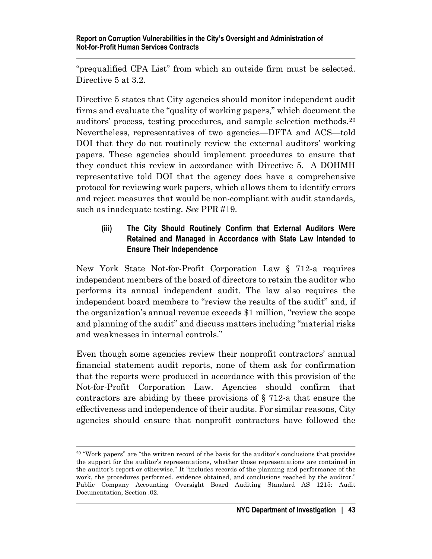"prequalified CPA List" from which an outside firm must be selected. Directive 5 at 3.2.

Directive 5 states that City agencies should monitor independent audit firms and evaluate the "quality of working papers," which document the auditors' process, testing procedures, and sample selection methods.[29](#page-47-0) Nevertheless, representatives of two agencies—DFTA and ACS—told DOI that they do not routinely review the external auditors' working papers. These agencies should implement procedures to ensure that they conduct this review in accordance with Directive 5. A DOHMH representative told DOI that the agency does have a comprehensive protocol for reviewing work papers, which allows them to identify errors and reject measures that would be non-compliant with audit standards, such as inadequate testing. *See* PPR #19.

### **(iii) The City Should Routinely Confirm that External Auditors Were Retained and Managed in Accordance with State Law Intended to Ensure Their Independence**

New York State Not-for-Profit Corporation Law § 712-a requires independent members of the board of directors to retain the auditor who performs its annual independent audit. The law also requires the independent board members to "review the results of the audit" and, if the organization's annual revenue exceeds \$1 million, "review the scope and planning of the audit" and discuss matters including "material risks and weaknesses in internal controls."

Even though some agencies review their nonprofit contractors' annual financial statement audit reports, none of them ask for confirmation that the reports were produced in accordance with this provision of the Not-for-Profit Corporation Law. Agencies should confirm that contractors are abiding by these provisions of § 712-a that ensure the effectiveness and independence of their audits. For similar reasons, City agencies should ensure that nonprofit contractors have followed the

<span id="page-47-0"></span><sup>&</sup>lt;sup>29</sup> "Work papers" are "the written record of the basis for the auditor's conclusions that provides the support for the auditor's representations, whether those representations are contained in the auditor's report or otherwise." It "includes records of the planning and performance of the work, the procedures performed, evidence obtained, and conclusions reached by the auditor." Public Company Accounting Oversight Board Auditing Standard AS 1215: Audit Documentation, Section .02.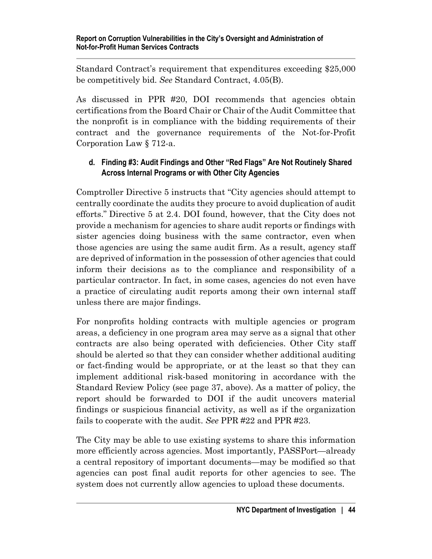Standard Contract's requirement that expenditures exceeding \$25,000 be competitively bid. *See* Standard Contract, 4.05(B).

As discussed in PPR #20, DOI recommends that agencies obtain certifications from the Board Chair or Chair of the Audit Committee that the nonprofit is in compliance with the bidding requirements of their contract and the governance requirements of the Not-for-Profit Corporation Law § 712-a.

## **d. Finding #3: Audit Findings and Other "Red Flags" Are Not Routinely Shared Across Internal Programs or with Other City Agencies**

Comptroller Directive 5 instructs that "City agencies should attempt to centrally coordinate the audits they procure to avoid duplication of audit efforts." Directive 5 at 2.4. DOI found, however, that the City does not provide a mechanism for agencies to share audit reports or findings with sister agencies doing business with the same contractor, even when those agencies are using the same audit firm. As a result, agency staff are deprived of information in the possession of other agencies that could inform their decisions as to the compliance and responsibility of a particular contractor. In fact, in some cases, agencies do not even have a practice of circulating audit reports among their own internal staff unless there are major findings.

For nonprofits holding contracts with multiple agencies or program areas, a deficiency in one program area may serve as a signal that other contracts are also being operated with deficiencies. Other City staff should be alerted so that they can consider whether additional auditing or fact-finding would be appropriate, or at the least so that they can implement additional risk-based monitoring in accordance with the Standard Review Policy (see page 37, above). As a matter of policy, the report should be forwarded to DOI if the audit uncovers material findings or suspicious financial activity, as well as if the organization fails to cooperate with the audit. *See* PPR #22 and PPR #23.

The City may be able to use existing systems to share this information more efficiently across agencies. Most importantly, PASSPort—already a central repository of important documents—may be modified so that agencies can post final audit reports for other agencies to see. The system does not currently allow agencies to upload these documents.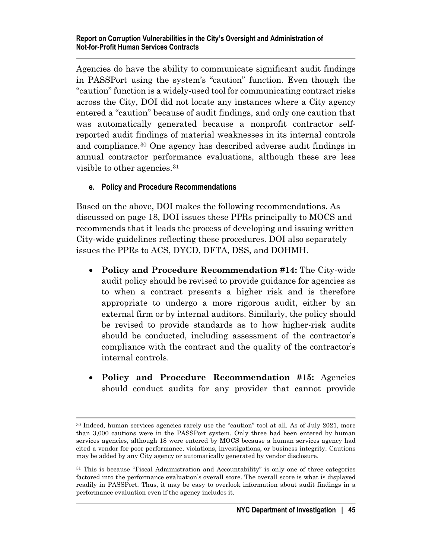Agencies do have the ability to communicate significant audit findings in PASSPort using the system's "caution" function. Even though the "caution" function is a widely-used tool for communicating contract risks across the City, DOI did not locate any instances where a City agency entered a "caution" because of audit findings, and only one caution that was automatically generated because a nonprofit contractor selfreported audit findings of material weaknesses in its internal controls and compliance.[30](#page-49-0) One agency has described adverse audit findings in annual contractor performance evaluations, although these are less visible to other agencies.[31](#page-49-1)

## **e. Policy and Procedure Recommendations**

Based on the above, DOI makes the following recommendations. As discussed on page 18, DOI issues these PPRs principally to MOCS and recommends that it leads the process of developing and issuing written City-wide guidelines reflecting these procedures. DOI also separately issues the PPRs to ACS, DYCD, DFTA, DSS, and DOHMH.

- **Policy and Procedure Recommendation #14:** The City-wide audit policy should be revised to provide guidance for agencies as to when a contract presents a higher risk and is therefore appropriate to undergo a more rigorous audit, either by an external firm or by internal auditors. Similarly, the policy should be revised to provide standards as to how higher-risk audits should be conducted, including assessment of the contractor's compliance with the contract and the quality of the contractor's internal controls.
- **Policy and Procedure Recommendation #15:** Agencies should conduct audits for any provider that cannot provide

<span id="page-49-0"></span><sup>30</sup> Indeed, human services agencies rarely use the "caution" tool at all. As of July 2021, more than 3,000 cautions were in the PASSPort system. Only three had been entered by human services agencies, although 18 were entered by MOCS because a human services agency had cited a vendor for poor performance, violations, investigations, or business integrity. Cautions may be added by any City agency or automatically generated by vendor disclosure.

<span id="page-49-1"></span><sup>&</sup>lt;sup>31</sup> This is because "Fiscal Administration and Accountability" is only one of three categories factored into the performance evaluation's overall score. The overall score is what is displayed readily in PASSPort. Thus, it may be easy to overlook information about audit findings in a performance evaluation even if the agency includes it.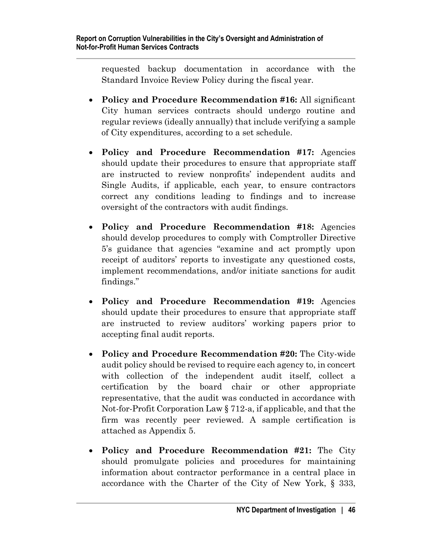requested backup documentation in accordance with the Standard Invoice Review Policy during the fiscal year.

- **Policy and Procedure Recommendation #16:** All significant City human services contracts should undergo routine and regular reviews (ideally annually) that include verifying a sample of City expenditures, according to a set schedule.
- **Policy and Procedure Recommendation #17:** Agencies should update their procedures to ensure that appropriate staff are instructed to review nonprofits' independent audits and Single Audits, if applicable, each year, to ensure contractors correct any conditions leading to findings and to increase oversight of the contractors with audit findings.
- **Policy and Procedure Recommendation #18:** Agencies should develop procedures to comply with Comptroller Directive 5's guidance that agencies "examine and act promptly upon receipt of auditors' reports to investigate any questioned costs, implement recommendations, and/or initiate sanctions for audit findings."
- **Policy and Procedure Recommendation #19:** Agencies should update their procedures to ensure that appropriate staff are instructed to review auditors' working papers prior to accepting final audit reports.
- **Policy and Procedure Recommendation #20:** The City-wide audit policy should be revised to require each agency to, in concert with collection of the independent audit itself, collect a certification by the board chair or other appropriate representative, that the audit was conducted in accordance with Not-for-Profit Corporation Law § 712-a, if applicable, and that the firm was recently peer reviewed. A sample certification is attached as Appendix 5.
- **Policy and Procedure Recommendation #21:** The City should promulgate policies and procedures for maintaining information about contractor performance in a central place in accordance with the Charter of the City of New York, § 333,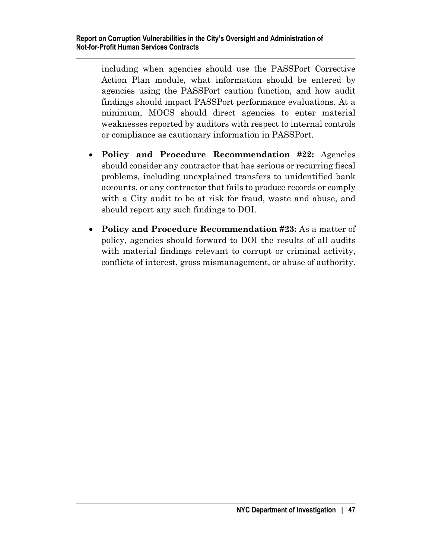including when agencies should use the PASSPort Corrective Action Plan module, what information should be entered by agencies using the PASSPort caution function, and how audit findings should impact PASSPort performance evaluations. At a minimum, MOCS should direct agencies to enter material weaknesses reported by auditors with respect to internal controls or compliance as cautionary information in PASSPort.

- **Policy and Procedure Recommendation #22:** Agencies should consider any contractor that has serious or recurring fiscal problems, including unexplained transfers to unidentified bank accounts, or any contractor that fails to produce records or comply with a City audit to be at risk for fraud, waste and abuse, and should report any such findings to DOI.
- **Policy and Procedure Recommendation #23:** As a matter of policy, agencies should forward to DOI the results of all audits with material findings relevant to corrupt or criminal activity, conflicts of interest, gross mismanagement, or abuse of authority.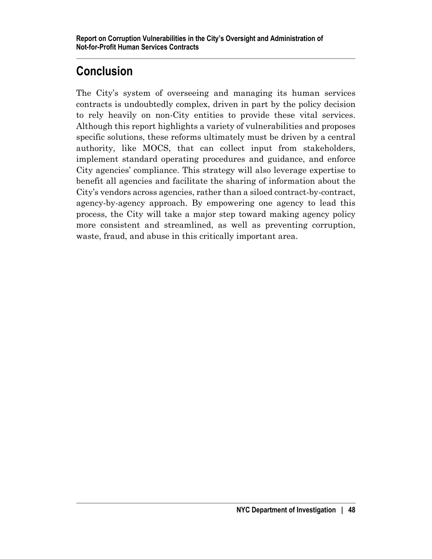# **Conclusion**

The City's system of overseeing and managing its human services contracts is undoubtedly complex, driven in part by the policy decision to rely heavily on non-City entities to provide these vital services. Although this report highlights a variety of vulnerabilities and proposes specific solutions, these reforms ultimately must be driven by a central authority, like MOCS, that can collect input from stakeholders, implement standard operating procedures and guidance, and enforce City agencies' compliance. This strategy will also leverage expertise to benefit all agencies and facilitate the sharing of information about the City's vendors across agencies, rather than a siloed contract-by-contract, agency-by-agency approach. By empowering one agency to lead this process, the City will take a major step toward making agency policy more consistent and streamlined, as well as preventing corruption, waste, fraud, and abuse in this critically important area.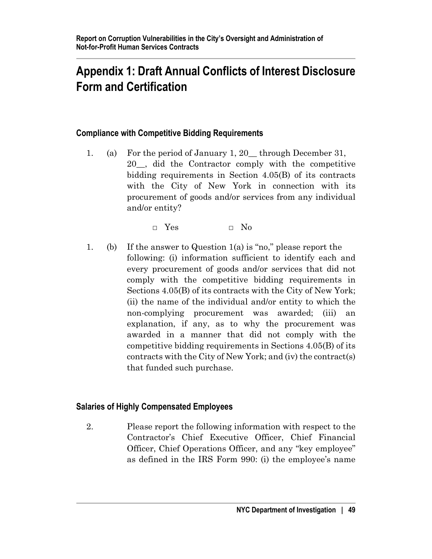# **Appendix 1: Draft Annual Conflicts of Interest Disclosure Form and Certification**

## **Compliance with Competitive Bidding Requirements**

1. (a) For the period of January 1, 20\_\_ through December 31, 20\_\_, did the Contractor comply with the competitive bidding requirements in Section 4.05(B) of its contracts with the City of New York in connection with its procurement of goods and/or services from any individual and/or entity?

 $\Box$  Yes  $\Box$  No

1. (b) If the answer to Question 1(a) is "no," please report the following: (i) information sufficient to identify each and every procurement of goods and/or services that did not comply with the competitive bidding requirements in Sections 4.05(B) of its contracts with the City of New York; (ii) the name of the individual and/or entity to which the non-complying procurement was awarded; (iii) an explanation, if any, as to why the procurement was awarded in a manner that did not comply with the competitive bidding requirements in Sections 4.05(B) of its contracts with the City of New York; and (iv) the contract(s) that funded such purchase.

### **Salaries of Highly Compensated Employees**

2. Please report the following information with respect to the Contractor's Chief Executive Officer, Chief Financial Officer, Chief Operations Officer, and any "key employee" as defined in the IRS Form 990: (i) the employee's name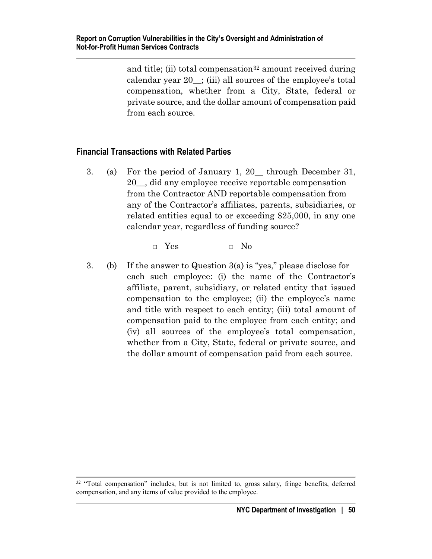and title; (ii) total compensation<sup>[32](#page-54-0)</sup> amount received during calendar year 20\_\_; (iii) all sources of the employee's total compensation, whether from a City, State, federal or private source, and the dollar amount of compensation paid from each source.

### **Financial Transactions with Related Parties**

3. (a) For the period of January 1, 20\_\_ through December 31, 20\_\_, did any employee receive reportable compensation from the Contractor AND reportable compensation from any of the Contractor's affiliates, parents, subsidiaries, or related entities equal to or exceeding \$25,000, in any one calendar year, regardless of funding source?

 $\Box$  Yes  $\Box$  No

3. (b) If the answer to Question 3(a) is "yes," please disclose for each such employee: (i) the name of the Contractor's affiliate, parent, subsidiary, or related entity that issued compensation to the employee; (ii) the employee's name and title with respect to each entity; (iii) total amount of compensation paid to the employee from each entity; and (iv) all sources of the employee's total compensation, whether from a City, State, federal or private source, and the dollar amount of compensation paid from each source.

<span id="page-54-0"></span><sup>&</sup>lt;sup>32</sup> "Total compensation" includes, but is not limited to, gross salary, fringe benefits, deferred compensation, and any items of value provided to the employee.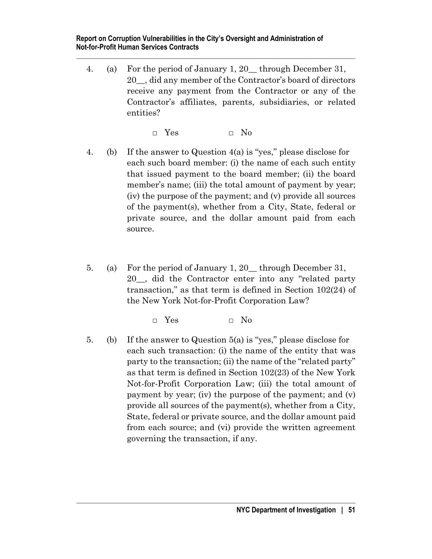4. (a) For the period of January 1, 20\_\_ through December 31, 20\_\_, did any member of the Contractor's board of directors receive any payment from the Contractor or any of the Contractor's affiliates, parents, subsidiaries, or related entities?

□ Yes □ No

- 4. (b) If the answer to Question 4(a) is "yes," please disclose for each such board member: (i) the name of each such entity that issued payment to the board member; (ii) the board member's name; (iii) the total amount of payment by year; (iv) the purpose of the payment; and (v) provide all sources of the payment(s), whether from a City, State, federal or private source, and the dollar amount paid from each source.
- 5. (a) For the period of January 1, 20\_\_ through December 31, 20\_\_, did the Contractor enter into any "related party transaction," as that term is defined in Section 102(24) of the New York Not-for-Profit Corporation Law?

□ Yes □ No

5. (b) If the answer to Question 5(a) is "yes," please disclose for each such transaction: (i) the name of the entity that was party to the transaction; (ii) the name of the "related party" as that term is defined in Section 102(23) of the New York Not-for-Profit Corporation Law; (iii) the total amount of payment by year; (iv) the purpose of the payment; and (v) provide all sources of the payment(s), whether from a City, State, federal or private source, and the dollar amount paid from each source; and (vi) provide the written agreement governing the transaction, if any.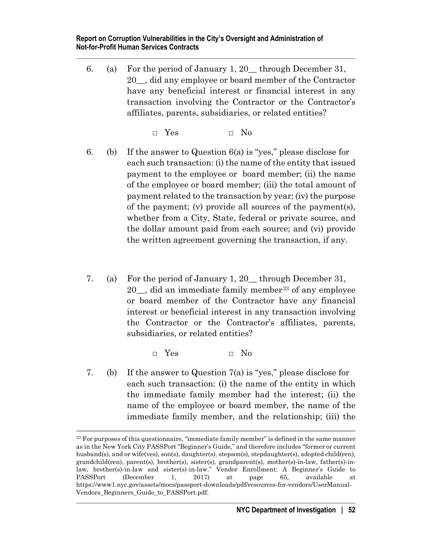6. (a) For the period of January 1, 20\_\_ through December 31, 20\_\_, did any employee or board member of the Contractor have any beneficial interest or financial interest in any transaction involving the Contractor or the Contractor's affiliates, parents, subsidiaries, or related entities?

□ Yes □ No

- 6. (b) If the answer to Question 6(a) is "yes," please disclose for each such transaction: (i) the name of the entity that issued payment to the employee or board member; (ii) the name of the employee or board member; (iii) the total amount of payment related to the transaction by year; (iv) the purpose of the payment; (v) provide all sources of the payment(s), whether from a City, State, federal or private source, and the dollar amount paid from each source; and (vi) provide the written agreement governing the transaction, if any.
- 7. (a) For the period of January 1, 20\_\_ through December 31, 20\_\_, did an immediate family member[33](#page-56-0) of any employee or board member of the Contractor have any financial interest or beneficial interest in any transaction involving the Contractor or the Contractor's affiliates, parents, subsidiaries, or related entities?

 $\Box$  Yes  $\Box$  No

7. (b) If the answer to Question 7(a) is "yes," please disclose for each such transaction: (i) the name of the entity in which the immediate family member had the interest; (ii) the name of the employee or board member, the name of the immediate family member, and the relationship; (iii) the

<span id="page-56-0"></span><sup>&</sup>lt;sup>33</sup> For purposes of this questionnaire, "immediate family member" is defined in the same manner as in the New York City PASSPort "Beginner's Guide," and therefore includes "former or current husband(s), and or wife(ves), son(s), daughter(s), stepson(s), stepdaughter(s), adopted child(ren), grandchild(ren), parent(s), brother(s), sister(s), grandparent(s), mother(s)-in-law, father(s)-inlaw, brother(s)-in-law and sister(s)-in-law." Vendor Enrollment: A Beginner's Guide to PASSPort (December 1, 2017) at page 65, available at https://www1.nyc.gov/assets/mocs/passport-downloads/pdf/resources-for-vendors/UserManual-Vendors\_Beginners\_Guide\_to\_PASSPort.pdf.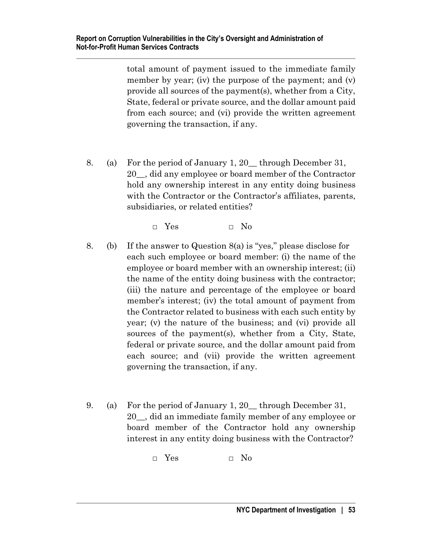total amount of payment issued to the immediate family member by year; (iv) the purpose of the payment; and (v) provide all sources of the payment(s), whether from a City, State, federal or private source, and the dollar amount paid from each source; and (vi) provide the written agreement governing the transaction, if any.

8. (a) For the period of January 1, 20\_\_ through December 31, 20\_\_, did any employee or board member of the Contractor hold any ownership interest in any entity doing business with the Contractor or the Contractor's affiliates, parents, subsidiaries, or related entities?

□ Yes □ No

- 8. (b) If the answer to Question 8(a) is "yes," please disclose for each such employee or board member: (i) the name of the employee or board member with an ownership interest; (ii) the name of the entity doing business with the contractor; (iii) the nature and percentage of the employee or board member's interest; (iv) the total amount of payment from the Contractor related to business with each such entity by year; (v) the nature of the business; and (vi) provide all sources of the payment(s), whether from a City, State, federal or private source, and the dollar amount paid from each source; and (vii) provide the written agreement governing the transaction, if any.
- 9. (a) For the period of January 1, 20\_\_ through December 31, 20\_\_, did an immediate family member of any employee or board member of the Contractor hold any ownership interest in any entity doing business with the Contractor?

□ Yes □ No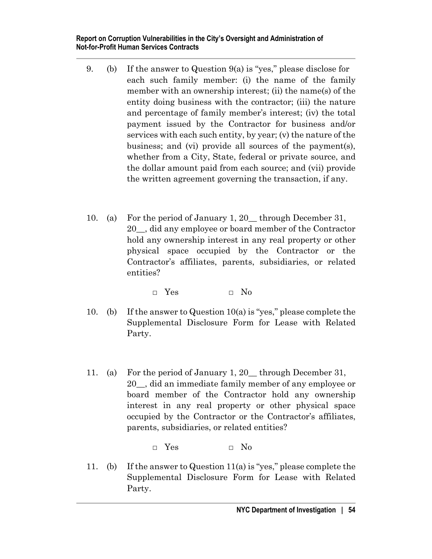- 9. (b) If the answer to Question 9(a) is "yes," please disclose for each such family member: (i) the name of the family member with an ownership interest; (ii) the name(s) of the entity doing business with the contractor; (iii) the nature and percentage of family member's interest; (iv) the total payment issued by the Contractor for business and/or services with each such entity, by year; (v) the nature of the business; and (vi) provide all sources of the payment(s), whether from a City, State, federal or private source, and the dollar amount paid from each source; and (vii) provide the written agreement governing the transaction, if any.
- 10. (a) For the period of January 1, 20\_\_ through December 31, 20\_\_, did any employee or board member of the Contractor hold any ownership interest in any real property or other physical space occupied by the Contractor or the Contractor's affiliates, parents, subsidiaries, or related entities?

 $\Box$  Yes  $\Box$  No

- 10. (b) If the answer to Question 10(a) is "yes," please complete the Supplemental Disclosure Form for Lease with Related Party.
- 11. (a) For the period of January 1, 20\_\_ through December 31, 20\_\_, did an immediate family member of any employee or board member of the Contractor hold any ownership interest in any real property or other physical space occupied by the Contractor or the Contractor's affiliates, parents, subsidiaries, or related entities?

□ Yes □ No

11. (b) If the answer to Question 11(a) is "yes," please complete the Supplemental Disclosure Form for Lease with Related Party.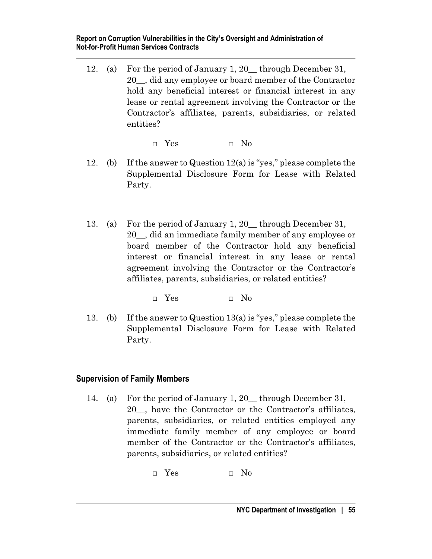12. (a) For the period of January 1, 20\_\_ through December 31, 20\_\_, did any employee or board member of the Contractor hold any beneficial interest or financial interest in any lease or rental agreement involving the Contractor or the Contractor's affiliates, parents, subsidiaries, or related entities?

 $\Box$  Yes  $\Box$  No

- 12. (b) If the answer to Question 12(a) is "yes," please complete the Supplemental Disclosure Form for Lease with Related Party.
- 13. (a) For the period of January 1, 20\_\_ through December 31, 20\_\_, did an immediate family member of any employee or board member of the Contractor hold any beneficial interest or financial interest in any lease or rental agreement involving the Contractor or the Contractor's affiliates, parents, subsidiaries, or related entities?

□ Yes □ No

13. (b) If the answer to Question 13(a) is "yes," please complete the Supplemental Disclosure Form for Lease with Related Party.

# **Supervision of Family Members**

14. (a) For the period of January 1, 20\_\_ through December 31, 20\_\_, have the Contractor or the Contractor's affiliates, parents, subsidiaries, or related entities employed any immediate family member of any employee or board member of the Contractor or the Contractor's affiliates, parents, subsidiaries, or related entities?

□ Yes □ No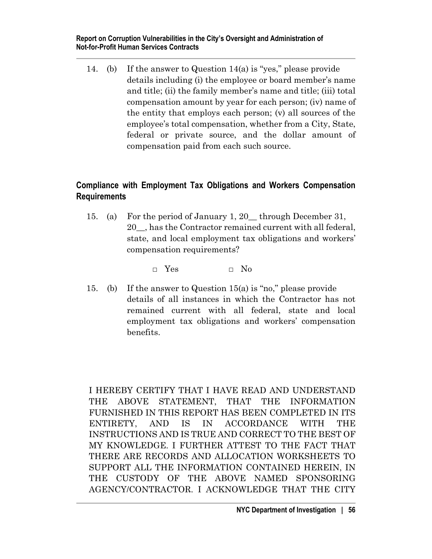14. (b) If the answer to Question 14(a) is "yes," please provide details including (i) the employee or board member's name and title; (ii) the family member's name and title; (iii) total compensation amount by year for each person; (iv) name of the entity that employs each person; (v) all sources of the employee's total compensation, whether from a City, State, federal or private source, and the dollar amount of compensation paid from each such source.

## **Compliance with Employment Tax Obligations and Workers Compensation Requirements**

15. (a) For the period of January 1, 20\_\_ through December 31, 20\_\_, has the Contractor remained current with all federal, state, and local employment tax obligations and workers' compensation requirements?

 $\Box$  Yes  $\Box$  No

15. (b) If the answer to Question 15(a) is "no," please provide details of all instances in which the Contractor has not remained current with all federal, state and local employment tax obligations and workers' compensation benefits.

I HEREBY CERTIFY THAT I HAVE READ AND UNDERSTAND THE ABOVE STATEMENT, THAT THE INFORMATION FURNISHED IN THIS REPORT HAS BEEN COMPLETED IN ITS ENTIRETY, AND IS IN ACCORDANCE WITH THE INSTRUCTIONS AND IS TRUE AND CORRECT TO THE BEST OF MY KNOWLEDGE. I FURTHER ATTEST TO THE FACT THAT THERE ARE RECORDS AND ALLOCATION WORKSHEETS TO SUPPORT ALL THE INFORMATION CONTAINED HEREIN, IN THE CUSTODY OF THE ABOVE NAMED SPONSORING AGENCY/CONTRACTOR. I ACKNOWLEDGE THAT THE CITY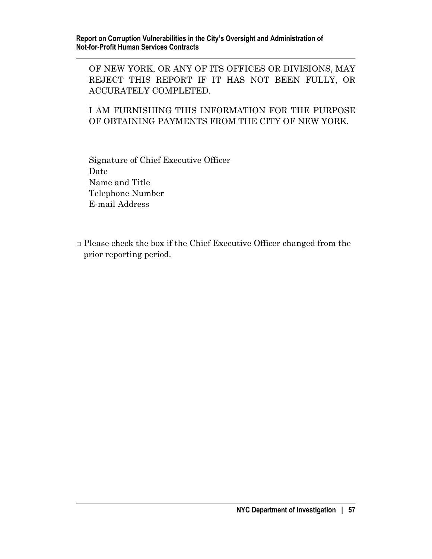OF NEW YORK, OR ANY OF ITS OFFICES OR DIVISIONS, MAY REJECT THIS REPORT IF IT HAS NOT BEEN FULLY, OR ACCURATELY COMPLETED.

I AM FURNISHING THIS INFORMATION FOR THE PURPOSE OF OBTAINING PAYMENTS FROM THE CITY OF NEW YORK.

Signature of Chief Executive Officer Date Name and Title Telephone Number E-mail Address

 $\Box$  Please check the box if the Chief Executive Officer changed from the prior reporting period.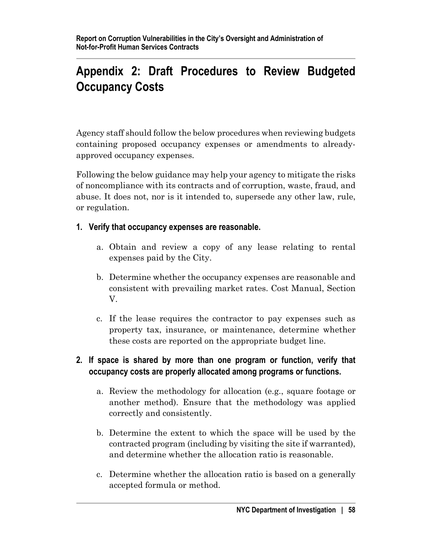# **Appendix 2: Draft Procedures to Review Budgeted Occupancy Costs**

Agency staff should follow the below procedures when reviewing budgets containing proposed occupancy expenses or amendments to alreadyapproved occupancy expenses.

Following the below guidance may help your agency to mitigate the risks of noncompliance with its contracts and of corruption, waste, fraud, and abuse. It does not, nor is it intended to, supersede any other law, rule, or regulation.

## **1. Verify that occupancy expenses are reasonable.**

- a. Obtain and review a copy of any lease relating to rental expenses paid by the City.
- b. Determine whether the occupancy expenses are reasonable and consistent with prevailing market rates. Cost Manual, Section V.
- c. If the lease requires the contractor to pay expenses such as property tax, insurance, or maintenance, determine whether these costs are reported on the appropriate budget line.

# **2. If space is shared by more than one program or function, verify that occupancy costs are properly allocated among programs or functions.**

- a. Review the methodology for allocation (e.g., square footage or another method). Ensure that the methodology was applied correctly and consistently.
- b. Determine the extent to which the space will be used by the contracted program (including by visiting the site if warranted), and determine whether the allocation ratio is reasonable.
- c. Determine whether the allocation ratio is based on a generally accepted formula or method.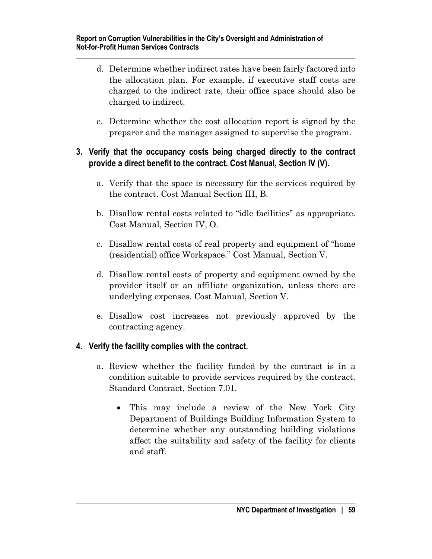- d. Determine whether indirect rates have been fairly factored into the allocation plan. For example, if executive staff costs are charged to the indirect rate, their office space should also be charged to indirect.
- e. Determine whether the cost allocation report is signed by the preparer and the manager assigned to supervise the program.

## **3. Verify that the occupancy costs being charged directly to the contract provide a direct benefit to the contract. Cost Manual, Section IV (V).**

- a. Verify that the space is necessary for the services required by the contract. Cost Manual Section III, B.
- b. Disallow rental costs related to "idle facilities" as appropriate. Cost Manual, Section IV, O.
- c. Disallow rental costs of real property and equipment of "home (residential) office Workspace." Cost Manual, Section V.
- d. Disallow rental costs of property and equipment owned by the provider itself or an affiliate organization, unless there are underlying expenses. Cost Manual, Section V.
- e. Disallow cost increases not previously approved by the contracting agency.

# **4. Verify the facility complies with the contract.**

- a. Review whether the facility funded by the contract is in a condition suitable to provide services required by the contract. Standard Contract, Section 7.01.
	- This may include a review of the New York City Department of Buildings Building Information System to determine whether any outstanding building violations affect the suitability and safety of the facility for clients and staff.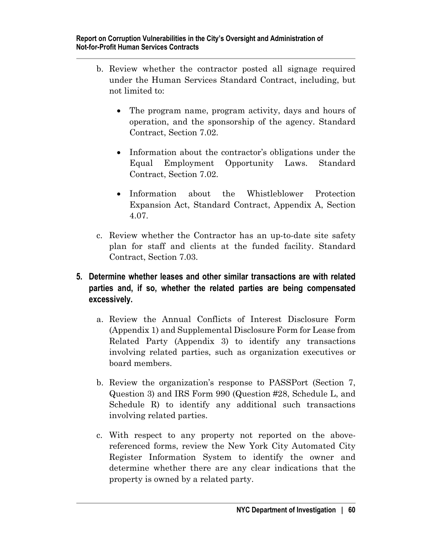- b. Review whether the contractor posted all signage required under the Human Services Standard Contract, including, but not limited to:
	- The program name, program activity, days and hours of operation, and the sponsorship of the agency. Standard Contract, Section 7.02.
	- Information about the contractor's obligations under the Equal Employment Opportunity Laws. Standard Contract, Section 7.02.
	- Information about the Whistleblower Protection Expansion Act, Standard Contract, Appendix A, Section 4.07.
- c. Review whether the Contractor has an up-to-date site safety plan for staff and clients at the funded facility. Standard Contract, Section 7.03.

# **5. Determine whether leases and other similar transactions are with related parties and, if so, whether the related parties are being compensated excessively.**

- a. Review the Annual Conflicts of Interest Disclosure Form (Appendix 1) and Supplemental Disclosure Form for Lease from Related Party (Appendix 3) to identify any transactions involving related parties, such as organization executives or board members.
- b. Review the organization's response to PASSPort (Section 7, Question 3) and IRS Form 990 (Question #28, Schedule L, and Schedule R) to identify any additional such transactions involving related parties.
- c. With respect to any property not reported on the abovereferenced forms, review the New York City Automated City Register Information System to identify the owner and determine whether there are any clear indications that the property is owned by a related party.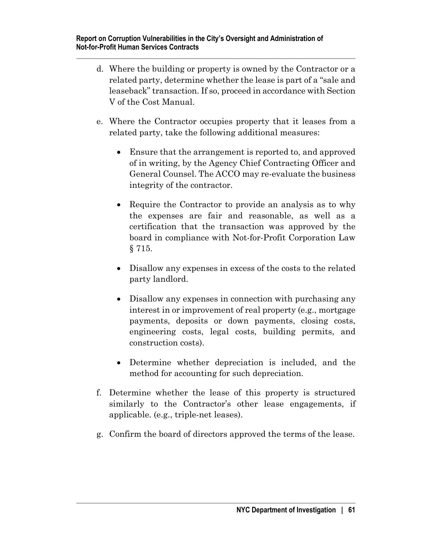- d. Where the building or property is owned by the Contractor or a related party, determine whether the lease is part of a "sale and leaseback" transaction. If so, proceed in accordance with Section V of the Cost Manual.
- e. Where the Contractor occupies property that it leases from a related party, take the following additional measures:
	- Ensure that the arrangement is reported to, and approved of in writing, by the Agency Chief Contracting Officer and General Counsel. The ACCO may re-evaluate the business integrity of the contractor.
	- Require the Contractor to provide an analysis as to why the expenses are fair and reasonable, as well as a certification that the transaction was approved by the board in compliance with Not-for-Profit Corporation Law § 715.
	- Disallow any expenses in excess of the costs to the related party landlord.
	- Disallow any expenses in connection with purchasing any interest in or improvement of real property (e.g., mortgage payments, deposits or down payments, closing costs, engineering costs, legal costs, building permits, and construction costs).
	- Determine whether depreciation is included, and the method for accounting for such depreciation.
- f. Determine whether the lease of this property is structured similarly to the Contractor's other lease engagements, if applicable. (e.g., triple-net leases).
- g. Confirm the board of directors approved the terms of the lease.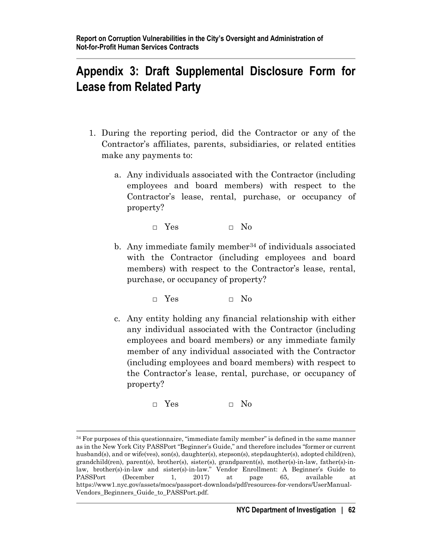# **Appendix 3: Draft Supplemental Disclosure Form for Lease from Related Party**

- 1. During the reporting period, did the Contractor or any of the Contractor's affiliates, parents, subsidiaries, or related entities make any payments to:
	- a. Any individuals associated with the Contractor (including employees and board members) with respect to the Contractor's lease, rental, purchase, or occupancy of property?

□ Yes □ No

b. Any immediate family member<sup>[34](#page-66-0)</sup> of individuals associated with the Contractor (including employees and board members) with respect to the Contractor's lease, rental, purchase, or occupancy of property?

□ Yes □ No

c. Any entity holding any financial relationship with either any individual associated with the Contractor (including employees and board members) or any immediate family member of any individual associated with the Contractor (including employees and board members) with respect to the Contractor's lease, rental, purchase, or occupancy of property?

□ Yes □ No

<span id="page-66-0"></span><sup>&</sup>lt;sup>34</sup> For purposes of this questionnaire, "immediate family member" is defined in the same manner as in the New York City PASSPort "Beginner's Guide," and therefore includes "former or current husband(s), and or wife(ves), son(s), daughter(s), stepson(s), stepdaughter(s), adopted child(ren), grandchild(ren), parent(s), brother(s), sister(s), grandparent(s), mother(s)-in-law, father(s)-inlaw, brother(s)-in-law and sister(s)-in-law." Vendor Enrollment: A Beginner's Guide to PASSPort (December 1, 2017) at page 65, available at https://www1.nyc.gov/assets/mocs/passport-downloads/pdf/resources-for-vendors/UserManual-Vendors\_Beginners\_Guide\_to\_PASSPort.pdf.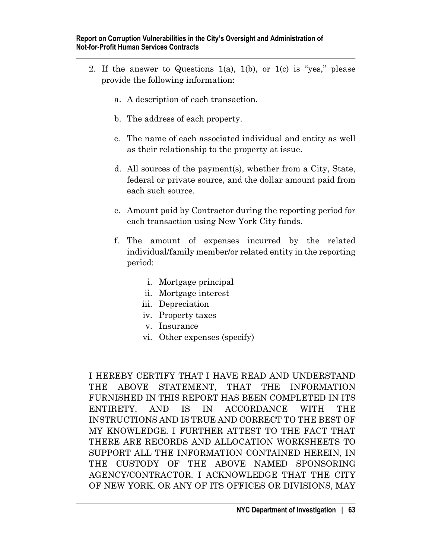- 2. If the answer to Questions 1(a), 1(b), or 1(c) is "yes," please provide the following information:
	- a. A description of each transaction.
	- b. The address of each property.
	- c. The name of each associated individual and entity as well as their relationship to the property at issue.
	- d. All sources of the payment(s), whether from a City, State, federal or private source, and the dollar amount paid from each such source.
	- e. Amount paid by Contractor during the reporting period for each transaction using New York City funds.
	- f. The amount of expenses incurred by the related individual/family member/or related entity in the reporting period:
		- i. Mortgage principal
		- ii. Mortgage interest
		- iii. Depreciation
		- iv. Property taxes
		- v. Insurance
		- vi. Other expenses (specify)

I HEREBY CERTIFY THAT I HAVE READ AND UNDERSTAND THE ABOVE STATEMENT, THAT THE INFORMATION FURNISHED IN THIS REPORT HAS BEEN COMPLETED IN ITS ENTIRETY, AND IS IN ACCORDANCE WITH THE INSTRUCTIONS AND IS TRUE AND CORRECT TO THE BEST OF MY KNOWLEDGE. I FURTHER ATTEST TO THE FACT THAT THERE ARE RECORDS AND ALLOCATION WORKSHEETS TO SUPPORT ALL THE INFORMATION CONTAINED HEREIN, IN THE CUSTODY OF THE ABOVE NAMED SPONSORING AGENCY/CONTRACTOR. I ACKNOWLEDGE THAT THE CITY OF NEW YORK, OR ANY OF ITS OFFICES OR DIVISIONS, MAY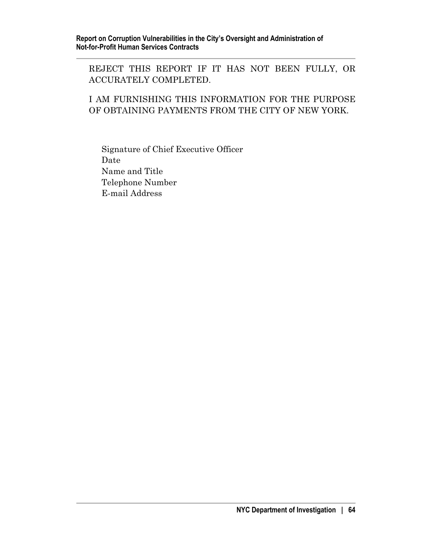REJECT THIS REPORT IF IT HAS NOT BEEN FULLY, OR ACCURATELY COMPLETED.

## I AM FURNISHING THIS INFORMATION FOR THE PURPOSE OF OBTAINING PAYMENTS FROM THE CITY OF NEW YORK.

Signature of Chief Executive Officer Date Name and Title Telephone Number E-mail Address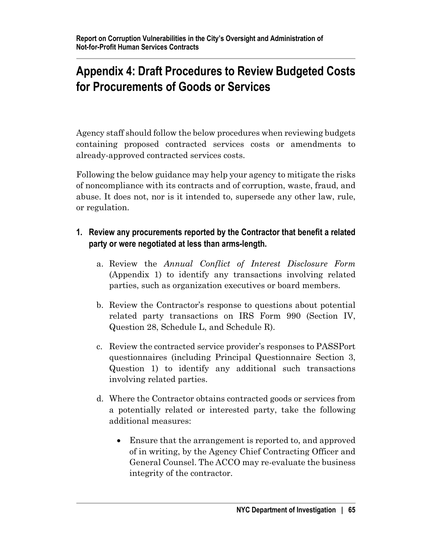# **Appendix 4: Draft Procedures to Review Budgeted Costs for Procurements of Goods or Services**

Agency staff should follow the below procedures when reviewing budgets containing proposed contracted services costs or amendments to already-approved contracted services costs.

Following the below guidance may help your agency to mitigate the risks of noncompliance with its contracts and of corruption, waste, fraud, and abuse. It does not, nor is it intended to, supersede any other law, rule, or regulation.

# **1. Review any procurements reported by the Contractor that benefit a related party or were negotiated at less than arms-length.**

- a. Review the *Annual Conflict of Interest Disclosure Form* (Appendix 1) to identify any transactions involving related parties, such as organization executives or board members.
- b. Review the Contractor's response to questions about potential related party transactions on IRS Form 990 (Section IV, Question 28, Schedule L, and Schedule R).
- c. Review the contracted service provider's responses to PASSPort questionnaires (including Principal Questionnaire Section 3, Question 1) to identify any additional such transactions involving related parties.
- d. Where the Contractor obtains contracted goods or services from a potentially related or interested party, take the following additional measures:
	- Ensure that the arrangement is reported to, and approved of in writing, by the Agency Chief Contracting Officer and General Counsel. The ACCO may re-evaluate the business integrity of the contractor.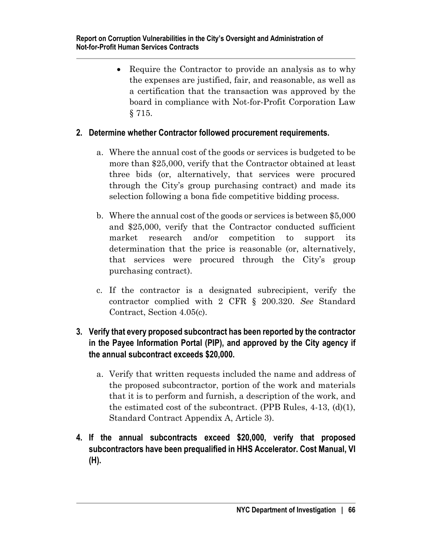• Require the Contractor to provide an analysis as to why the expenses are justified, fair, and reasonable, as well as a certification that the transaction was approved by the board in compliance with Not-for-Profit Corporation Law § 715.

# **2. Determine whether Contractor followed procurement requirements.**

- a. Where the annual cost of the goods or services is budgeted to be more than \$25,000, verify that the Contractor obtained at least three bids (or, alternatively, that services were procured through the City's group purchasing contract) and made its selection following a bona fide competitive bidding process.
- b. Where the annual cost of the goods or services is between \$5,000 and \$25,000, verify that the Contractor conducted sufficient market research and/or competition to support its determination that the price is reasonable (or, alternatively, that services were procured through the City's group purchasing contract).
- c. If the contractor is a designated subrecipient, verify the contractor complied with 2 CFR § 200.320. *See* Standard Contract, Section 4.05(c).

# **3. Verify that every proposed subcontract has been reported by the contractor in the Payee Information Portal (PIP), and approved by the City agency if the annual subcontract exceeds \$20,000.**

- a. Verify that written requests included the name and address of the proposed subcontractor, portion of the work and materials that it is to perform and furnish, a description of the work, and the estimated cost of the subcontract. (PPB Rules,  $4-13$ ,  $(d)(1)$ , Standard Contract Appendix A, Article 3).
- **4. If the annual subcontracts exceed \$20,000, verify that proposed subcontractors have been prequalified in HHS Accelerator. Cost Manual, VI (H).**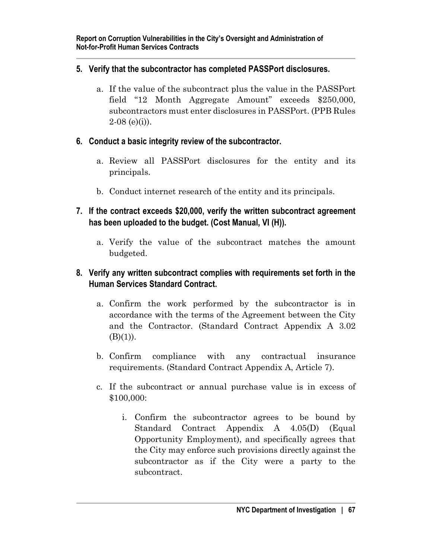## **5. Verify that the subcontractor has completed PASSPort disclosures.**

- a. If the value of the subcontract plus the value in the PASSPort field "12 Month Aggregate Amount" exceeds \$250,000, subcontractors must enter disclosures in PASSPort. (PPB Rules  $2-08$  (e)(i)).
- **6. Conduct a basic integrity review of the subcontractor.**
	- a. Review all PASSPort disclosures for the entity and its principals.
	- b. Conduct internet research of the entity and its principals.
- **7. If the contract exceeds \$20,000, verify the written subcontract agreement has been uploaded to the budget. (Cost Manual, VI (H)).**
	- a. Verify the value of the subcontract matches the amount budgeted.

# **8. Verify any written subcontract complies with requirements set forth in the Human Services Standard Contract.**

- a. Confirm the work performed by the subcontractor is in accordance with the terms of the Agreement between the City and the Contractor. (Standard Contract Appendix A 3.02  $(B)(1)$ ).
- b. Confirm compliance with any contractual insurance requirements. (Standard Contract Appendix A, Article 7).
- c. If the subcontract or annual purchase value is in excess of \$100,000:
	- i. Confirm the subcontractor agrees to be bound by Standard Contract Appendix A 4.05(D) (Equal Opportunity Employment), and specifically agrees that the City may enforce such provisions directly against the subcontractor as if the City were a party to the subcontract.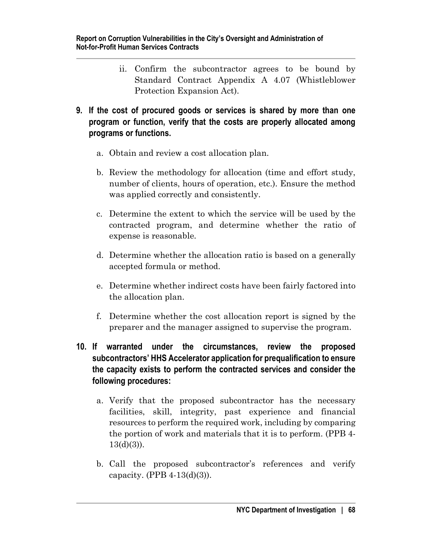- ii. Confirm the subcontractor agrees to be bound by Standard Contract Appendix A 4.07 (Whistleblower Protection Expansion Act).
- **9. If the cost of procured goods or services is shared by more than one program or function, verify that the costs are properly allocated among programs or functions.** 
	- a. Obtain and review a cost allocation plan.
	- b. Review the methodology for allocation (time and effort study, number of clients, hours of operation, etc.). Ensure the method was applied correctly and consistently.
	- c. Determine the extent to which the service will be used by the contracted program, and determine whether the ratio of expense is reasonable.
	- d. Determine whether the allocation ratio is based on a generally accepted formula or method.
	- e. Determine whether indirect costs have been fairly factored into the allocation plan.
	- f. Determine whether the cost allocation report is signed by the preparer and the manager assigned to supervise the program.

## **10. If warranted under the circumstances, review the proposed subcontractors' HHS Accelerator application for prequalification to ensure the capacity exists to perform the contracted services and consider the following procedures:**

- a. Verify that the proposed subcontractor has the necessary facilities, skill, integrity, past experience and financial resources to perform the required work, including by comparing the portion of work and materials that it is to perform. (PPB 4-  $13(d)(3)$ ).
- b. Call the proposed subcontractor's references and verify capacity. (PPB 4-13(d)(3)).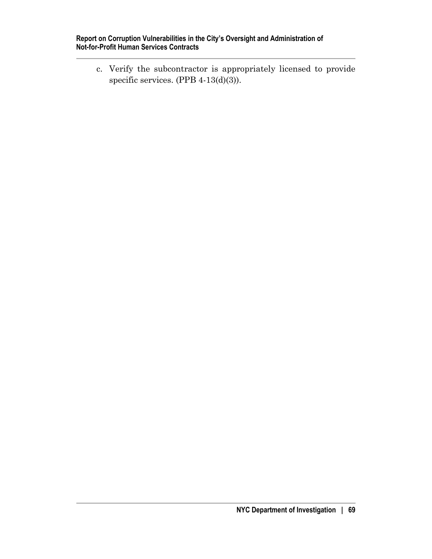c. Verify the subcontractor is appropriately licensed to provide specific services. (PPB 4-13(d)(3)).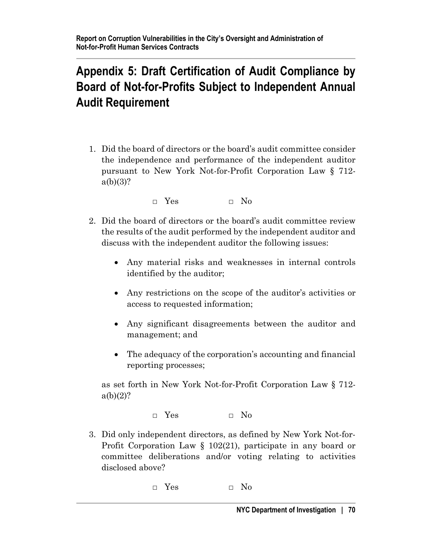# **Appendix 5: Draft Certification of Audit Compliance by Board of Not-for-Profits Subject to Independent Annual Audit Requirement**

1. Did the board of directors or the board's audit committee consider the independence and performance of the independent auditor pursuant to New York Not-for-Profit Corporation Law § 712  $a(b)(3)?$ 

 $\Box$  Yes  $\Box$  No

- 2. Did the board of directors or the board's audit committee review the results of the audit performed by the independent auditor and discuss with the independent auditor the following issues:
	- Any material risks and weaknesses in internal controls identified by the auditor;
	- Any restrictions on the scope of the auditor's activities or access to requested information;
	- Any significant disagreements between the auditor and management; and
	- The adequacy of the corporation's accounting and financial reporting processes;

as set forth in New York Not-for-Profit Corporation Law § 712  $a(b)(2)?$ 

□ Yes □ No

- 3. Did only independent directors, as defined by New York Not-for-Profit Corporation Law § 102(21), participate in any board or committee deliberations and/or voting relating to activities disclosed above?
	- $\Box$  Yes  $\Box$  No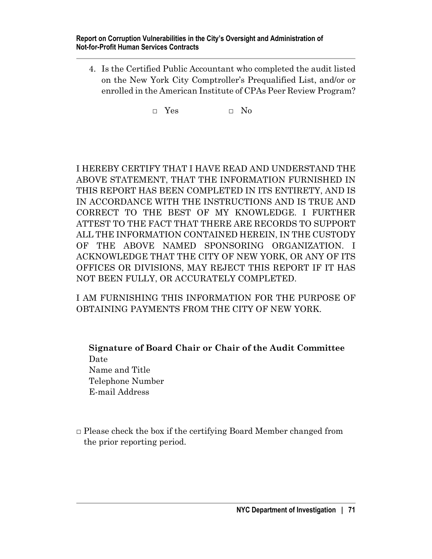4. Is the Certified Public Accountant who completed the audit listed on the New York City Comptroller's Prequalified List, and/or or enrolled in the American Institute of CPAs Peer Review Program?

 $\Box$  Yes  $\Box$  No

I HEREBY CERTIFY THAT I HAVE READ AND UNDERSTAND THE ABOVE STATEMENT, THAT THE INFORMATION FURNISHED IN THIS REPORT HAS BEEN COMPLETED IN ITS ENTIRETY, AND IS IN ACCORDANCE WITH THE INSTRUCTIONS AND IS TRUE AND CORRECT TO THE BEST OF MY KNOWLEDGE. I FURTHER ATTEST TO THE FACT THAT THERE ARE RECORDS TO SUPPORT ALL THE INFORMATION CONTAINED HEREIN, IN THE CUSTODY OF THE ABOVE NAMED SPONSORING ORGANIZATION. I ACKNOWLEDGE THAT THE CITY OF NEW YORK, OR ANY OF ITS OFFICES OR DIVISIONS, MAY REJECT THIS REPORT IF IT HAS NOT BEEN FULLY, OR ACCURATELY COMPLETED.

I AM FURNISHING THIS INFORMATION FOR THE PURPOSE OF OBTAINING PAYMENTS FROM THE CITY OF NEW YORK.

**Signature of Board Chair or Chair of the Audit Committee** Date Name and Title Telephone Number E-mail Address

 $\Box$  Please check the box if the certifying Board Member changed from the prior reporting period.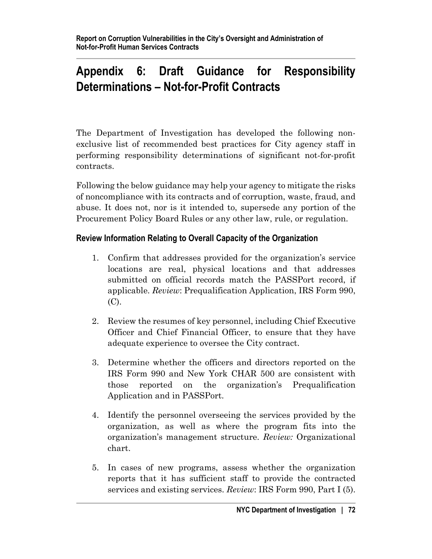# **Appendix 6: Draft Guidance for Responsibility Determinations – Not-for-Profit Contracts**

The Department of Investigation has developed the following nonexclusive list of recommended best practices for City agency staff in performing responsibility determinations of significant not-for-profit contracts.

Following the below guidance may help your agency to mitigate the risks of noncompliance with its contracts and of corruption, waste, fraud, and abuse. It does not, nor is it intended to, supersede any portion of the Procurement Policy Board Rules or any other law, rule, or regulation.

## **Review Information Relating to Overall Capacity of the Organization**

- 1. Confirm that addresses provided for the organization's service locations are real, physical locations and that addresses submitted on official records match the PASSPort record, if applicable. *Review*: Prequalification Application, IRS Form 990, (C).
- 2. Review the resumes of key personnel, including Chief Executive Officer and Chief Financial Officer, to ensure that they have adequate experience to oversee the City contract.
- 3. Determine whether the officers and directors reported on the IRS Form 990 and New York CHAR 500 are consistent with those reported on the organization's Prequalification Application and in PASSPort.
- 4. Identify the personnel overseeing the services provided by the organization, as well as where the program fits into the organization's management structure. *Review:* Organizational chart.
- 5. In cases of new programs, assess whether the organization reports that it has sufficient staff to provide the contracted services and existing services. *Review*: IRS Form 990, Part I (5).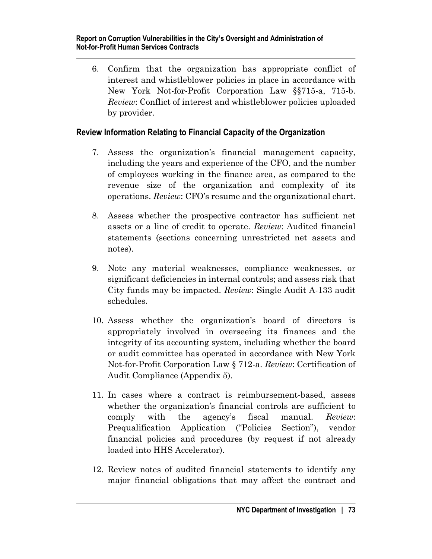6. Confirm that the organization has appropriate conflict of interest and whistleblower policies in place in accordance with New York Not-for-Profit Corporation Law §§715-a, 715-b. *Review*: Conflict of interest and whistleblower policies uploaded by provider.

#### **Review Information Relating to Financial Capacity of the Organization**

- 7. Assess the organization's financial management capacity, including the years and experience of the CFO, and the number of employees working in the finance area, as compared to the revenue size of the organization and complexity of its operations. *Review*: CFO's resume and the organizational chart.
- 8. Assess whether the prospective contractor has sufficient net assets or a line of credit to operate. *Review*: Audited financial statements (sections concerning unrestricted net assets and notes).
- 9. Note any material weaknesses, compliance weaknesses, or significant deficiencies in internal controls; and assess risk that City funds may be impacted. *Review*: Single Audit A-133 audit schedules.
- 10. Assess whether the organization's board of directors is appropriately involved in overseeing its finances and the integrity of its accounting system, including whether the board or audit committee has operated in accordance with New York Not-for-Profit Corporation Law § 712-a. *Review*: Certification of Audit Compliance (Appendix 5).
- 11. In cases where a contract is reimbursement-based, assess whether the organization's financial controls are sufficient to comply with the agency's fiscal manual. *Review*: Prequalification Application ("Policies Section"), vendor financial policies and procedures (by request if not already loaded into HHS Accelerator).
- 12. Review notes of audited financial statements to identify any major financial obligations that may affect the contract and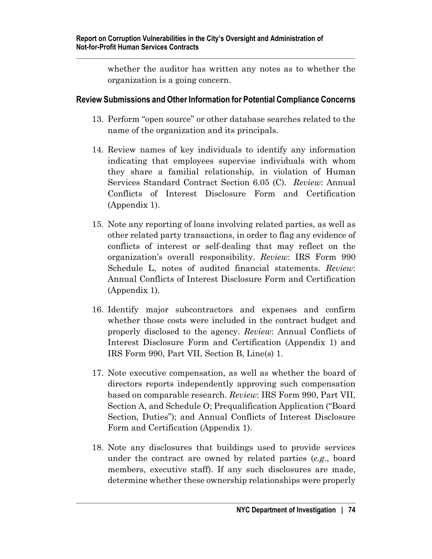whether the auditor has written any notes as to whether the organization is a going concern.

#### **Review Submissions and Other Information for Potential Compliance Concerns**

- 13. Perform "open source" or other database searches related to the name of the organization and its principals.
- 14. Review names of key individuals to identify any information indicating that employees supervise individuals with whom they share a familial relationship, in violation of Human Services Standard Contract Section 6.05 (C). *Review*: Annual Conflicts of Interest Disclosure Form and Certification (Appendix 1).
- 15. Note any reporting of loans involving related parties, as well as other related party transactions, in order to flag any evidence of conflicts of interest or self-dealing that may reflect on the organization's overall responsibility. *Review*: IRS Form 990 Schedule L, notes of audited financial statements. *Review*: Annual Conflicts of Interest Disclosure Form and Certification (Appendix 1).
- 16. Identify major subcontractors and expenses and confirm whether those costs were included in the contract budget and properly disclosed to the agency. *Review*: Annual Conflicts of Interest Disclosure Form and Certification (Appendix 1) and IRS Form 990, Part VII, Section B, Line(s) 1.
- 17. Note executive compensation, as well as whether the board of directors reports independently approving such compensation based on comparable research. *Review*: IRS Form 990, Part VII, Section A, and Schedule O; Prequalification Application ("Board Section, Duties"); and Annual Conflicts of Interest Disclosure Form and Certification (Appendix 1).
- 18. Note any disclosures that buildings used to provide services under the contract are owned by related parties (*e.g.*, board members, executive staff). If any such disclosures are made, determine whether these ownership relationships were properly